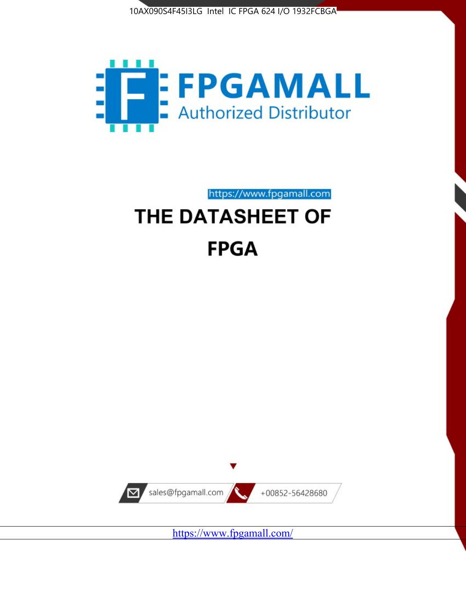



https://www.fpgamall.com THE DATASHEET OF

# **FPGA**



<https://www.fpgamall.com/>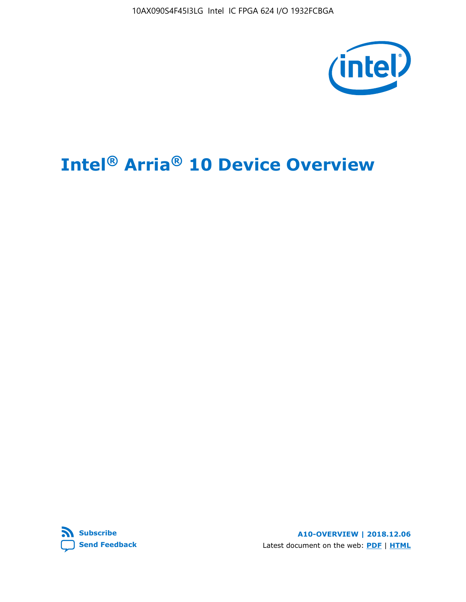10AX090S4F45I3LG Intel IC FPGA 624 I/O 1932FCBGA



# **Intel® Arria® 10 Device Overview**



**A10-OVERVIEW | 2018.12.06** Latest document on the web: **[PDF](https://www.intel.com/content/dam/www/programmable/us/en/pdfs/literature/hb/arria-10/a10_overview.pdf)** | **[HTML](https://www.intel.com/content/www/us/en/programmable/documentation/sam1403480274650.html)**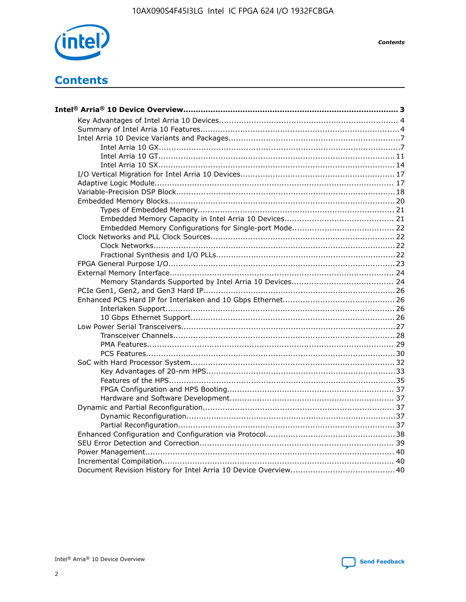

**Contents** 

# **Contents**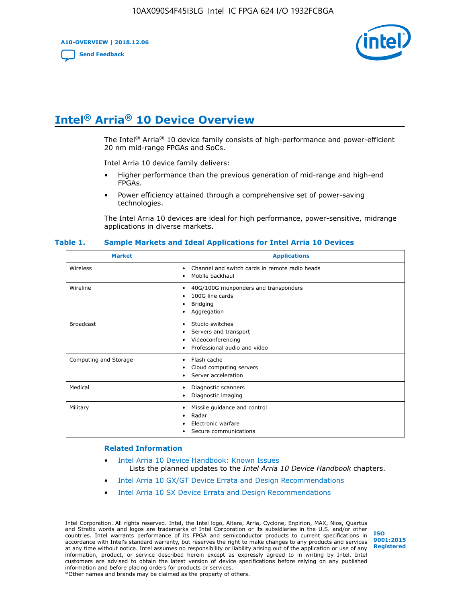**A10-OVERVIEW | 2018.12.06**

**[Send Feedback](mailto:FPGAtechdocfeedback@intel.com?subject=Feedback%20on%20Intel%20Arria%2010%20Device%20Overview%20(A10-OVERVIEW%202018.12.06)&body=We%20appreciate%20your%20feedback.%20In%20your%20comments,%20also%20specify%20the%20page%20number%20or%20paragraph.%20Thank%20you.)**



# **Intel® Arria® 10 Device Overview**

The Intel<sup>®</sup> Arria<sup>®</sup> 10 device family consists of high-performance and power-efficient 20 nm mid-range FPGAs and SoCs.

Intel Arria 10 device family delivers:

- Higher performance than the previous generation of mid-range and high-end FPGAs.
- Power efficiency attained through a comprehensive set of power-saving technologies.

The Intel Arria 10 devices are ideal for high performance, power-sensitive, midrange applications in diverse markets.

| <b>Market</b>         | <b>Applications</b>                                                                                               |
|-----------------------|-------------------------------------------------------------------------------------------------------------------|
| Wireless              | Channel and switch cards in remote radio heads<br>٠<br>Mobile backhaul<br>٠                                       |
| Wireline              | 40G/100G muxponders and transponders<br>٠<br>100G line cards<br>٠<br><b>Bridging</b><br>٠<br>Aggregation<br>٠     |
| <b>Broadcast</b>      | Studio switches<br>٠<br>Servers and transport<br>٠<br>Videoconferencing<br>٠<br>Professional audio and video<br>٠ |
| Computing and Storage | Flash cache<br>٠<br>Cloud computing servers<br>٠<br>Server acceleration<br>٠                                      |
| Medical               | Diagnostic scanners<br>٠<br>Diagnostic imaging<br>٠                                                               |
| Military              | Missile guidance and control<br>٠<br>Radar<br>٠<br>Electronic warfare<br>٠<br>Secure communications<br>٠          |

#### **Table 1. Sample Markets and Ideal Applications for Intel Arria 10 Devices**

#### **Related Information**

- [Intel Arria 10 Device Handbook: Known Issues](http://www.altera.com/support/kdb/solutions/rd07302013_646.html) Lists the planned updates to the *Intel Arria 10 Device Handbook* chapters.
- [Intel Arria 10 GX/GT Device Errata and Design Recommendations](https://www.intel.com/content/www/us/en/programmable/documentation/agz1493851706374.html#yqz1494433888646)
- [Intel Arria 10 SX Device Errata and Design Recommendations](https://www.intel.com/content/www/us/en/programmable/documentation/cru1462832385668.html#cru1462832558642)

Intel Corporation. All rights reserved. Intel, the Intel logo, Altera, Arria, Cyclone, Enpirion, MAX, Nios, Quartus and Stratix words and logos are trademarks of Intel Corporation or its subsidiaries in the U.S. and/or other countries. Intel warrants performance of its FPGA and semiconductor products to current specifications in accordance with Intel's standard warranty, but reserves the right to make changes to any products and services at any time without notice. Intel assumes no responsibility or liability arising out of the application or use of any information, product, or service described herein except as expressly agreed to in writing by Intel. Intel customers are advised to obtain the latest version of device specifications before relying on any published information and before placing orders for products or services. \*Other names and brands may be claimed as the property of others.

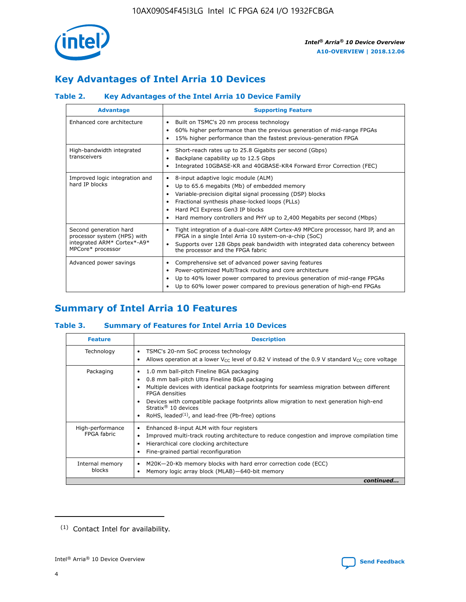

# **Key Advantages of Intel Arria 10 Devices**

# **Table 2. Key Advantages of the Intel Arria 10 Device Family**

| <b>Advantage</b>                                                                                          | <b>Supporting Feature</b>                                                                                                                                                                                                                                                                                                |
|-----------------------------------------------------------------------------------------------------------|--------------------------------------------------------------------------------------------------------------------------------------------------------------------------------------------------------------------------------------------------------------------------------------------------------------------------|
| Enhanced core architecture                                                                                | Built on TSMC's 20 nm process technology<br>٠<br>60% higher performance than the previous generation of mid-range FPGAs<br>٠<br>15% higher performance than the fastest previous-generation FPGA<br>٠                                                                                                                    |
| High-bandwidth integrated<br>transceivers                                                                 | Short-reach rates up to 25.8 Gigabits per second (Gbps)<br>٠<br>Backplane capability up to 12.5 Gbps<br>٠<br>Integrated 10GBASE-KR and 40GBASE-KR4 Forward Error Correction (FEC)<br>٠                                                                                                                                   |
| Improved logic integration and<br>hard IP blocks                                                          | 8-input adaptive logic module (ALM)<br>٠<br>Up to 65.6 megabits (Mb) of embedded memory<br>٠<br>Variable-precision digital signal processing (DSP) blocks<br>Fractional synthesis phase-locked loops (PLLs)<br>Hard PCI Express Gen3 IP blocks<br>Hard memory controllers and PHY up to 2,400 Megabits per second (Mbps) |
| Second generation hard<br>processor system (HPS) with<br>integrated ARM* Cortex*-A9*<br>MPCore* processor | Tight integration of a dual-core ARM Cortex-A9 MPCore processor, hard IP, and an<br>٠<br>FPGA in a single Intel Arria 10 system-on-a-chip (SoC)<br>Supports over 128 Gbps peak bandwidth with integrated data coherency between<br>$\bullet$<br>the processor and the FPGA fabric                                        |
| Advanced power savings                                                                                    | Comprehensive set of advanced power saving features<br>٠<br>Power-optimized MultiTrack routing and core architecture<br>٠<br>Up to 40% lower power compared to previous generation of mid-range FPGAs<br>٠<br>Up to 60% lower power compared to previous generation of high-end FPGAs                                    |

# **Summary of Intel Arria 10 Features**

## **Table 3. Summary of Features for Intel Arria 10 Devices**

| <b>Feature</b>                  | <b>Description</b>                                                                                                                                                                                                                                                                                                                                                                                       |
|---------------------------------|----------------------------------------------------------------------------------------------------------------------------------------------------------------------------------------------------------------------------------------------------------------------------------------------------------------------------------------------------------------------------------------------------------|
| Technology                      | TSMC's 20-nm SoC process technology<br>٠<br>Allows operation at a lower $V_{\text{CC}}$ level of 0.82 V instead of the 0.9 V standard $V_{\text{CC}}$ core voltage                                                                                                                                                                                                                                       |
| Packaging                       | 1.0 mm ball-pitch Fineline BGA packaging<br>0.8 mm ball-pitch Ultra Fineline BGA packaging<br>Multiple devices with identical package footprints for seamless migration between different<br><b>FPGA</b> densities<br>Devices with compatible package footprints allow migration to next generation high-end<br>Stratix $\mathcal{R}$ 10 devices<br>RoHS, leaded $(1)$ , and lead-free (Pb-free) options |
| High-performance<br>FPGA fabric | Enhanced 8-input ALM with four registers<br>٠<br>Improved multi-track routing architecture to reduce congestion and improve compilation time<br>Hierarchical core clocking architecture<br>Fine-grained partial reconfiguration                                                                                                                                                                          |
| Internal memory<br>blocks       | M20K-20-Kb memory blocks with hard error correction code (ECC)<br>Memory logic array block (MLAB)-640-bit memory                                                                                                                                                                                                                                                                                         |
|                                 | continued                                                                                                                                                                                                                                                                                                                                                                                                |



<sup>(1)</sup> Contact Intel for availability.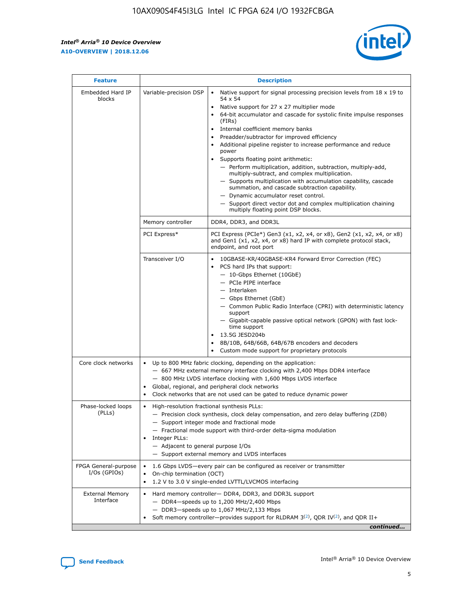$\mathsf{r}$ 



| <b>Feature</b>                         |                                                                                                                                                                                                                                                                                                                      | <b>Description</b>                                                                                                                                                                                                                                                                                                                                                                                                                                                                                                                                                                                                                                                                                                                                                                                                                     |  |  |  |  |
|----------------------------------------|----------------------------------------------------------------------------------------------------------------------------------------------------------------------------------------------------------------------------------------------------------------------------------------------------------------------|----------------------------------------------------------------------------------------------------------------------------------------------------------------------------------------------------------------------------------------------------------------------------------------------------------------------------------------------------------------------------------------------------------------------------------------------------------------------------------------------------------------------------------------------------------------------------------------------------------------------------------------------------------------------------------------------------------------------------------------------------------------------------------------------------------------------------------------|--|--|--|--|
| Embedded Hard IP<br>blocks             | Variable-precision DSP                                                                                                                                                                                                                                                                                               | Native support for signal processing precision levels from $18 \times 19$ to<br>54 x 54<br>Native support for 27 x 27 multiplier mode<br>64-bit accumulator and cascade for systolic finite impulse responses<br>(FIRs)<br>Internal coefficient memory banks<br>$\bullet$<br>Preadder/subtractor for improved efficiency<br>Additional pipeline register to increase performance and reduce<br>power<br>Supports floating point arithmetic:<br>- Perform multiplication, addition, subtraction, multiply-add,<br>multiply-subtract, and complex multiplication.<br>- Supports multiplication with accumulation capability, cascade<br>summation, and cascade subtraction capability.<br>- Dynamic accumulator reset control.<br>- Support direct vector dot and complex multiplication chaining<br>multiply floating point DSP blocks. |  |  |  |  |
|                                        | Memory controller                                                                                                                                                                                                                                                                                                    | DDR4, DDR3, and DDR3L                                                                                                                                                                                                                                                                                                                                                                                                                                                                                                                                                                                                                                                                                                                                                                                                                  |  |  |  |  |
|                                        | PCI Express*                                                                                                                                                                                                                                                                                                         | PCI Express (PCIe*) Gen3 (x1, x2, x4, or x8), Gen2 (x1, x2, x4, or x8)<br>and Gen1 (x1, x2, x4, or x8) hard IP with complete protocol stack,<br>endpoint, and root port                                                                                                                                                                                                                                                                                                                                                                                                                                                                                                                                                                                                                                                                |  |  |  |  |
|                                        | Transceiver I/O                                                                                                                                                                                                                                                                                                      | 10GBASE-KR/40GBASE-KR4 Forward Error Correction (FEC)<br>PCS hard IPs that support:<br>$\bullet$<br>- 10-Gbps Ethernet (10GbE)<br>- PCIe PIPE interface<br>$-$ Interlaken<br>- Gbps Ethernet (GbE)<br>- Common Public Radio Interface (CPRI) with deterministic latency<br>support<br>- Gigabit-capable passive optical network (GPON) with fast lock-<br>time support<br>13.5G JESD204b<br>$\bullet$<br>8B/10B, 64B/66B, 64B/67B encoders and decoders<br>Custom mode support for proprietary protocols                                                                                                                                                                                                                                                                                                                               |  |  |  |  |
| Core clock networks                    | $\bullet$<br>$\bullet$                                                                                                                                                                                                                                                                                               | Up to 800 MHz fabric clocking, depending on the application:<br>- 667 MHz external memory interface clocking with 2,400 Mbps DDR4 interface<br>- 800 MHz LVDS interface clocking with 1,600 Mbps LVDS interface<br>Global, regional, and peripheral clock networks<br>Clock networks that are not used can be gated to reduce dynamic power                                                                                                                                                                                                                                                                                                                                                                                                                                                                                            |  |  |  |  |
| Phase-locked loops<br>(PLLs)           | High-resolution fractional synthesis PLLs:<br>$\bullet$<br>Integer PLLs:<br>- Adjacent to general purpose I/Os                                                                                                                                                                                                       | - Precision clock synthesis, clock delay compensation, and zero delay buffering (ZDB)<br>- Support integer mode and fractional mode<br>- Fractional mode support with third-order delta-sigma modulation<br>- Support external memory and LVDS interfaces                                                                                                                                                                                                                                                                                                                                                                                                                                                                                                                                                                              |  |  |  |  |
| FPGA General-purpose<br>$I/Os$ (GPIOs) | On-chip termination (OCT)                                                                                                                                                                                                                                                                                            | 1.6 Gbps LVDS-every pair can be configured as receiver or transmitter                                                                                                                                                                                                                                                                                                                                                                                                                                                                                                                                                                                                                                                                                                                                                                  |  |  |  |  |
| <b>External Memory</b><br>Interface    | 1.2 V to 3.0 V single-ended LVTTL/LVCMOS interfacing<br>Hard memory controller- DDR4, DDR3, and DDR3L support<br>$-$ DDR4-speeds up to 1,200 MHz/2,400 Mbps<br>- DDR3-speeds up to 1,067 MHz/2,133 Mbps<br>Soft memory controller—provides support for RLDRAM $3^{(2)}$ , QDR IV $^{(2)}$ , and QDR II+<br>continued |                                                                                                                                                                                                                                                                                                                                                                                                                                                                                                                                                                                                                                                                                                                                                                                                                                        |  |  |  |  |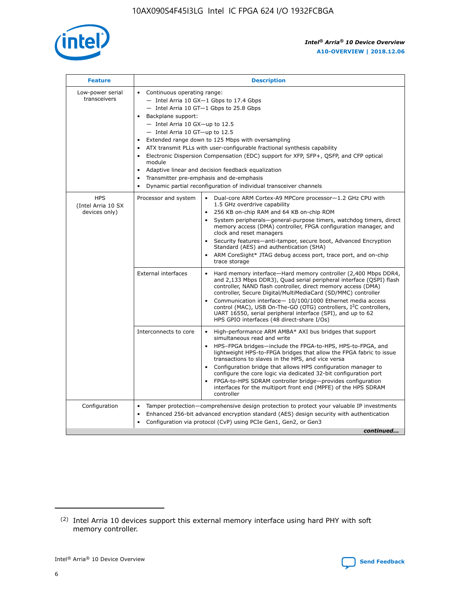

| <b>Feature</b>                                    | <b>Description</b>                                                                                                                                                                                                                                                                                                                                                                                                                                                                                                                                                                                                                                  |
|---------------------------------------------------|-----------------------------------------------------------------------------------------------------------------------------------------------------------------------------------------------------------------------------------------------------------------------------------------------------------------------------------------------------------------------------------------------------------------------------------------------------------------------------------------------------------------------------------------------------------------------------------------------------------------------------------------------------|
| Low-power serial<br>transceivers                  | • Continuous operating range:<br>- Intel Arria 10 GX-1 Gbps to 17.4 Gbps<br>- Intel Arria 10 GT-1 Gbps to 25.8 Gbps<br>Backplane support:<br>- Intel Arria 10 GX-up to 12.5<br>- Intel Arria 10 GT-up to 12.5<br>Extended range down to 125 Mbps with oversampling<br>ATX transmit PLLs with user-configurable fractional synthesis capability<br>Electronic Dispersion Compensation (EDC) support for XFP, SFP+, QSFP, and CFP optical<br>module<br>Adaptive linear and decision feedback equalization<br>$\bullet$<br>Transmitter pre-emphasis and de-emphasis<br>$\bullet$<br>Dynamic partial reconfiguration of individual transceiver channels |
| <b>HPS</b><br>(Intel Arria 10 SX<br>devices only) | Dual-core ARM Cortex-A9 MPCore processor-1.2 GHz CPU with<br>Processor and system<br>$\bullet$<br>1.5 GHz overdrive capability<br>256 KB on-chip RAM and 64 KB on-chip ROM<br>System peripherals—general-purpose timers, watchdog timers, direct<br>memory access (DMA) controller, FPGA configuration manager, and<br>clock and reset managers<br>Security features-anti-tamper, secure boot, Advanced Encryption<br>Standard (AES) and authentication (SHA)<br>ARM CoreSight* JTAG debug access port, trace port, and on-chip<br>trace storage                                                                                                    |
|                                                   | <b>External interfaces</b><br>Hard memory interface-Hard memory controller (2,400 Mbps DDR4,<br>$\bullet$<br>and 2,133 Mbps DDR3), Quad serial peripheral interface (QSPI) flash<br>controller, NAND flash controller, direct memory access (DMA)<br>controller, Secure Digital/MultiMediaCard (SD/MMC) controller<br>Communication interface-10/100/1000 Ethernet media access<br>control (MAC), USB On-The-GO (OTG) controllers, I <sup>2</sup> C controllers,<br>UART 16550, serial peripheral interface (SPI), and up to 62<br>HPS GPIO interfaces (48 direct-share I/Os)                                                                       |
|                                                   | High-performance ARM AMBA* AXI bus bridges that support<br>Interconnects to core<br>$\bullet$<br>simultaneous read and write<br>HPS-FPGA bridges-include the FPGA-to-HPS, HPS-to-FPGA, and<br>$\bullet$<br>lightweight HPS-to-FPGA bridges that allow the FPGA fabric to issue<br>transactions to slaves in the HPS, and vice versa<br>Configuration bridge that allows HPS configuration manager to<br>configure the core logic via dedicated 32-bit configuration port<br>FPGA-to-HPS SDRAM controller bridge-provides configuration<br>interfaces for the multiport front end (MPFE) of the HPS SDRAM<br>controller                              |
| Configuration                                     | Tamper protection—comprehensive design protection to protect your valuable IP investments<br>Enhanced 256-bit advanced encryption standard (AES) design security with authentication<br>٠<br>Configuration via protocol (CvP) using PCIe Gen1, Gen2, or Gen3<br>continued                                                                                                                                                                                                                                                                                                                                                                           |

<sup>(2)</sup> Intel Arria 10 devices support this external memory interface using hard PHY with soft memory controller.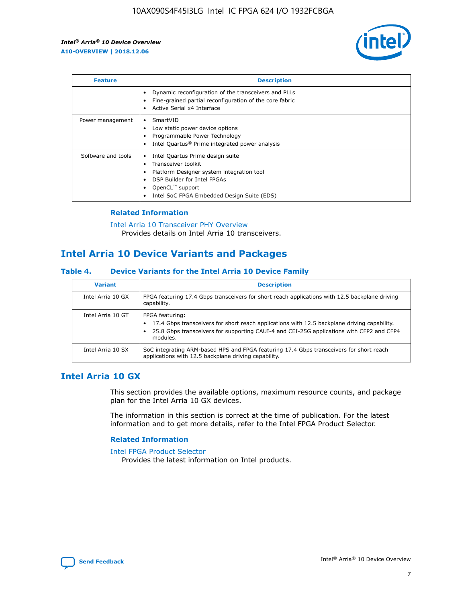

| <b>Feature</b>     | <b>Description</b>                                                                                                                                                                                               |
|--------------------|------------------------------------------------------------------------------------------------------------------------------------------------------------------------------------------------------------------|
|                    | Dynamic reconfiguration of the transceivers and PLLs<br>Fine-grained partial reconfiguration of the core fabric<br>Active Serial x4 Interface<br>$\bullet$                                                       |
| Power management   | SmartVID<br>$\bullet$<br>Low static power device options<br>Programmable Power Technology<br>Intel Quartus <sup>®</sup> Prime integrated power analysis                                                          |
| Software and tools | Intel Quartus Prime design suite<br>Transceiver toolkit<br>Platform Designer system integration tool<br>DSP Builder for Intel FPGAs<br>OpenCL <sup>"</sup> support<br>Intel SoC FPGA Embedded Design Suite (EDS) |

## **Related Information**

[Intel Arria 10 Transceiver PHY Overview](https://www.intel.com/content/www/us/en/programmable/documentation/nik1398707230472.html#nik1398706768037) Provides details on Intel Arria 10 transceivers.

# **Intel Arria 10 Device Variants and Packages**

#### **Table 4. Device Variants for the Intel Arria 10 Device Family**

| <b>Variant</b>    | <b>Description</b>                                                                                                                                                                                                     |
|-------------------|------------------------------------------------------------------------------------------------------------------------------------------------------------------------------------------------------------------------|
| Intel Arria 10 GX | FPGA featuring 17.4 Gbps transceivers for short reach applications with 12.5 backplane driving<br>capability.                                                                                                          |
| Intel Arria 10 GT | FPGA featuring:<br>17.4 Gbps transceivers for short reach applications with 12.5 backplane driving capability.<br>25.8 Gbps transceivers for supporting CAUI-4 and CEI-25G applications with CFP2 and CFP4<br>modules. |
| Intel Arria 10 SX | SoC integrating ARM-based HPS and FPGA featuring 17.4 Gbps transceivers for short reach<br>applications with 12.5 backplane driving capability.                                                                        |

# **Intel Arria 10 GX**

This section provides the available options, maximum resource counts, and package plan for the Intel Arria 10 GX devices.

The information in this section is correct at the time of publication. For the latest information and to get more details, refer to the Intel FPGA Product Selector.

#### **Related Information**

#### [Intel FPGA Product Selector](http://www.altera.com/products/selector/psg-selector.html) Provides the latest information on Intel products.

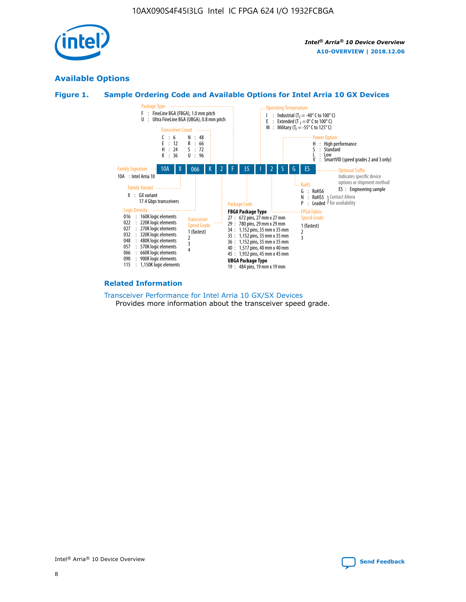

# **Available Options**





#### **Related Information**

[Transceiver Performance for Intel Arria 10 GX/SX Devices](https://www.intel.com/content/www/us/en/programmable/documentation/mcn1413182292568.html#mcn1413213965502) Provides more information about the transceiver speed grade.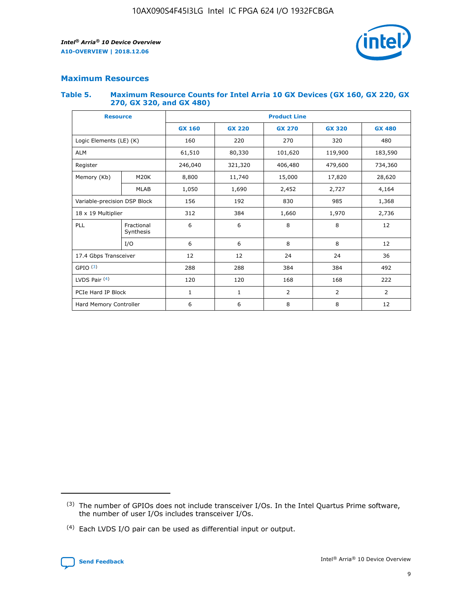

## **Maximum Resources**

#### **Table 5. Maximum Resource Counts for Intel Arria 10 GX Devices (GX 160, GX 220, GX 270, GX 320, and GX 480)**

| <b>Resource</b>              |                         | <b>Product Line</b> |                                                 |                    |                |                |  |  |  |
|------------------------------|-------------------------|---------------------|-------------------------------------------------|--------------------|----------------|----------------|--|--|--|
|                              |                         | <b>GX 160</b>       | <b>GX 220</b><br><b>GX 270</b><br><b>GX 320</b> |                    |                | <b>GX 480</b>  |  |  |  |
| Logic Elements (LE) (K)      |                         | 160                 | 220                                             | 270                | 320            | 480            |  |  |  |
| <b>ALM</b>                   |                         | 61,510              | 80,330                                          | 101,620            | 119,900        | 183,590        |  |  |  |
| Register                     |                         | 246,040             | 321,320                                         | 479,600<br>406,480 |                | 734,360        |  |  |  |
| Memory (Kb)                  | M <sub>20</sub> K       | 8,800               | 11,740                                          | 15,000             | 17,820         | 28,620         |  |  |  |
|                              | <b>MLAB</b>             | 1,050               | 1,690                                           | 2,452              | 2,727          | 4,164          |  |  |  |
| Variable-precision DSP Block |                         | 156                 | 192                                             | 830                | 985            | 1,368          |  |  |  |
| 18 x 19 Multiplier           |                         | 312                 | 384                                             | 1,970<br>1,660     |                | 2,736          |  |  |  |
| PLL                          | Fractional<br>Synthesis | 6                   | 6                                               | 8                  | 8              | 12             |  |  |  |
|                              | I/O                     | 6                   | 6                                               | 8                  | 8              | 12             |  |  |  |
| 17.4 Gbps Transceiver        |                         | 12                  | 12                                              | 24                 | 24             | 36             |  |  |  |
| GPIO <sup>(3)</sup>          |                         | 288                 | 288                                             | 384                | 384            |                |  |  |  |
| LVDS Pair $(4)$              |                         | 120                 | 120                                             | 168                | 168            | 222            |  |  |  |
| PCIe Hard IP Block           |                         | $\mathbf{1}$        | 1                                               | $\overline{2}$     | $\overline{2}$ | $\overline{2}$ |  |  |  |
| Hard Memory Controller       |                         | 6                   | 6                                               | 8                  | 8              | 12             |  |  |  |

<sup>(4)</sup> Each LVDS I/O pair can be used as differential input or output.



<sup>(3)</sup> The number of GPIOs does not include transceiver I/Os. In the Intel Quartus Prime software, the number of user I/Os includes transceiver I/Os.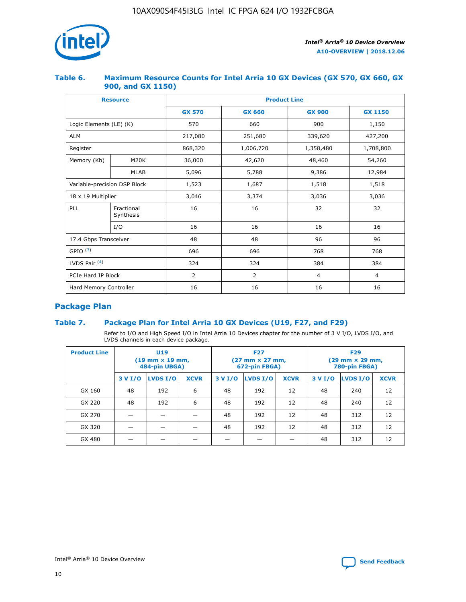

## **Table 6. Maximum Resource Counts for Intel Arria 10 GX Devices (GX 570, GX 660, GX 900, and GX 1150)**

|                              | <b>Resource</b>         |               | <b>Product Line</b> |                |                |  |  |  |  |  |
|------------------------------|-------------------------|---------------|---------------------|----------------|----------------|--|--|--|--|--|
|                              |                         | <b>GX 570</b> | <b>GX 660</b>       | <b>GX 900</b>  | <b>GX 1150</b> |  |  |  |  |  |
| Logic Elements (LE) (K)      |                         | 570           | 660                 | 900            | 1,150          |  |  |  |  |  |
| <b>ALM</b>                   |                         | 217,080       | 251,680             | 339,620        | 427,200        |  |  |  |  |  |
| Register                     |                         | 868,320       | 1,006,720           |                | 1,708,800      |  |  |  |  |  |
| Memory (Kb)                  | <b>M20K</b>             | 36,000        | 42,620              | 48,460         | 54,260         |  |  |  |  |  |
|                              | <b>MLAB</b>             | 5,096         | 5,788               | 9,386          | 12,984         |  |  |  |  |  |
| Variable-precision DSP Block |                         | 1,523         | 1,687               | 1,518          | 1,518          |  |  |  |  |  |
| $18 \times 19$ Multiplier    |                         | 3,046         | 3,374               | 3,036          | 3,036          |  |  |  |  |  |
| PLL                          | Fractional<br>Synthesis | 16            | 16                  | 32             | 32             |  |  |  |  |  |
|                              | I/O                     | 16            | 16                  | 16             | 16             |  |  |  |  |  |
| 17.4 Gbps Transceiver        |                         | 48            | 48                  | 96             |                |  |  |  |  |  |
| GPIO <sup>(3)</sup>          |                         | 696           | 696                 | 768            | 768            |  |  |  |  |  |
| LVDS Pair $(4)$              |                         | 324           | 324                 | 384            | 384            |  |  |  |  |  |
| PCIe Hard IP Block           |                         | 2             | 2                   | $\overline{4}$ | $\overline{4}$ |  |  |  |  |  |
| Hard Memory Controller       |                         | 16            | 16                  | 16             | 16             |  |  |  |  |  |

# **Package Plan**

# **Table 7. Package Plan for Intel Arria 10 GX Devices (U19, F27, and F29)**

Refer to I/O and High Speed I/O in Intel Arria 10 Devices chapter for the number of 3 V I/O, LVDS I/O, and LVDS channels in each device package.

| <b>Product Line</b> | U <sub>19</sub><br>$(19 \text{ mm} \times 19 \text{ mm})$<br>484-pin UBGA) |          |             |         | <b>F27</b><br>(27 mm × 27 mm,<br>672-pin FBGA) |             | <b>F29</b><br>(29 mm × 29 mm,<br>780-pin FBGA) |          |             |  |
|---------------------|----------------------------------------------------------------------------|----------|-------------|---------|------------------------------------------------|-------------|------------------------------------------------|----------|-------------|--|
|                     | 3 V I/O                                                                    | LVDS I/O | <b>XCVR</b> | 3 V I/O | LVDS I/O                                       | <b>XCVR</b> | 3 V I/O                                        | LVDS I/O | <b>XCVR</b> |  |
| GX 160              | 48                                                                         | 192      | 6           | 48      | 192                                            | 12          | 48                                             | 240      | 12          |  |
| GX 220              | 48                                                                         | 192      | 6           | 48      | 192                                            | 12          | 48                                             | 240      | 12          |  |
| GX 270              |                                                                            |          |             | 48      | 192                                            | 12          | 48                                             | 312      | 12          |  |
| GX 320              |                                                                            |          |             | 48      | 192                                            | 12          | 48                                             | 312      | 12          |  |
| GX 480              |                                                                            |          |             |         |                                                |             | 48                                             | 312      | 12          |  |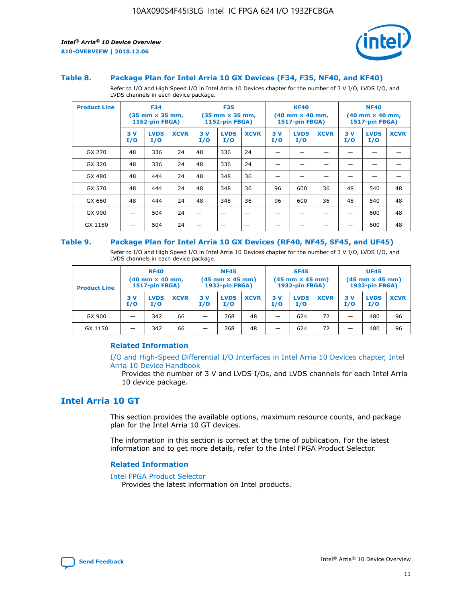

#### **Table 8. Package Plan for Intel Arria 10 GX Devices (F34, F35, NF40, and KF40)**

Refer to I/O and High Speed I/O in Intel Arria 10 Devices chapter for the number of 3 V I/O, LVDS I/O, and LVDS channels in each device package.

| <b>Product Line</b> | <b>F34</b><br>$(35 \text{ mm} \times 35 \text{ mm})$<br><b>1152-pin FBGA)</b> |                    | <b>F35</b><br>$(35 \text{ mm} \times 35 \text{ mm})$<br><b>1152-pin FBGA)</b> |           | <b>KF40</b><br>$(40$ mm $\times$ 40 mm,<br><b>1517-pin FBGA)</b> |             |           | <b>NF40</b><br>$(40 \text{ mm} \times 40 \text{ mm})$<br>1517-pin FBGA) |             |           |                    |             |
|---------------------|-------------------------------------------------------------------------------|--------------------|-------------------------------------------------------------------------------|-----------|------------------------------------------------------------------|-------------|-----------|-------------------------------------------------------------------------|-------------|-----------|--------------------|-------------|
|                     | 3V<br>I/O                                                                     | <b>LVDS</b><br>I/O | <b>XCVR</b>                                                                   | 3V<br>I/O | <b>LVDS</b><br>I/O                                               | <b>XCVR</b> | 3V<br>I/O | <b>LVDS</b><br>I/O                                                      | <b>XCVR</b> | 3V<br>I/O | <b>LVDS</b><br>I/O | <b>XCVR</b> |
| GX 270              | 48                                                                            | 336                | 24                                                                            | 48        | 336                                                              | 24          |           |                                                                         |             |           |                    |             |
| GX 320              | 48                                                                            | 336                | 24                                                                            | 48        | 336                                                              | 24          |           |                                                                         |             |           |                    |             |
| GX 480              | 48                                                                            | 444                | 24                                                                            | 48        | 348                                                              | 36          |           |                                                                         |             |           |                    |             |
| GX 570              | 48                                                                            | 444                | 24                                                                            | 48        | 348                                                              | 36          | 96        | 600                                                                     | 36          | 48        | 540                | 48          |
| GX 660              | 48                                                                            | 444                | 24                                                                            | 48        | 348                                                              | 36          | 96        | 600                                                                     | 36          | 48        | 540                | 48          |
| GX 900              |                                                                               | 504                | 24                                                                            | –         |                                                                  | -           |           |                                                                         |             |           | 600                | 48          |
| GX 1150             |                                                                               | 504                | 24                                                                            |           |                                                                  |             |           |                                                                         |             |           | 600                | 48          |

#### **Table 9. Package Plan for Intel Arria 10 GX Devices (RF40, NF45, SF45, and UF45)**

Refer to I/O and High Speed I/O in Intel Arria 10 Devices chapter for the number of 3 V I/O, LVDS I/O, and LVDS channels in each device package.

| <b>Product Line</b> | <b>RF40</b><br>$(40$ mm $\times$ 40 mm,<br>1517-pin FBGA) |                    | <b>NF45</b><br>$(45 \text{ mm} \times 45 \text{ mm})$<br><b>1932-pin FBGA)</b> |            |                    | <b>SF45</b><br>$(45 \text{ mm} \times 45 \text{ mm})$<br><b>1932-pin FBGA)</b> |            |                    | <b>UF45</b><br>$(45 \text{ mm} \times 45 \text{ mm})$<br><b>1932-pin FBGA)</b> |           |                    |             |
|---------------------|-----------------------------------------------------------|--------------------|--------------------------------------------------------------------------------|------------|--------------------|--------------------------------------------------------------------------------|------------|--------------------|--------------------------------------------------------------------------------|-----------|--------------------|-------------|
|                     | 3V<br>I/O                                                 | <b>LVDS</b><br>I/O | <b>XCVR</b>                                                                    | 3 V<br>I/O | <b>LVDS</b><br>I/O | <b>XCVR</b>                                                                    | 3 V<br>I/O | <b>LVDS</b><br>I/O | <b>XCVR</b>                                                                    | 3V<br>I/O | <b>LVDS</b><br>I/O | <b>XCVR</b> |
| GX 900              |                                                           | 342                | 66                                                                             | _          | 768                | 48                                                                             |            | 624                | 72                                                                             |           | 480                | 96          |
| GX 1150             |                                                           | 342                | 66                                                                             | _          | 768                | 48                                                                             |            | 624                | 72                                                                             |           | 480                | 96          |

### **Related Information**

[I/O and High-Speed Differential I/O Interfaces in Intel Arria 10 Devices chapter, Intel](https://www.intel.com/content/www/us/en/programmable/documentation/sam1403482614086.html#sam1403482030321) [Arria 10 Device Handbook](https://www.intel.com/content/www/us/en/programmable/documentation/sam1403482614086.html#sam1403482030321)

Provides the number of 3 V and LVDS I/Os, and LVDS channels for each Intel Arria 10 device package.

# **Intel Arria 10 GT**

This section provides the available options, maximum resource counts, and package plan for the Intel Arria 10 GT devices.

The information in this section is correct at the time of publication. For the latest information and to get more details, refer to the Intel FPGA Product Selector.

#### **Related Information**

#### [Intel FPGA Product Selector](http://www.altera.com/products/selector/psg-selector.html)

Provides the latest information on Intel products.

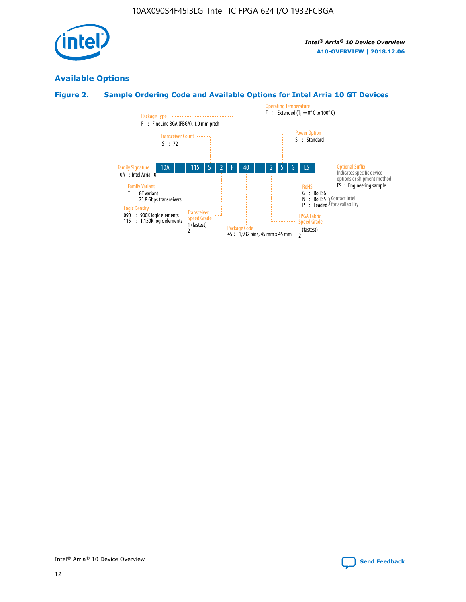

# **Available Options**

# **Figure 2. Sample Ordering Code and Available Options for Intel Arria 10 GT Devices**

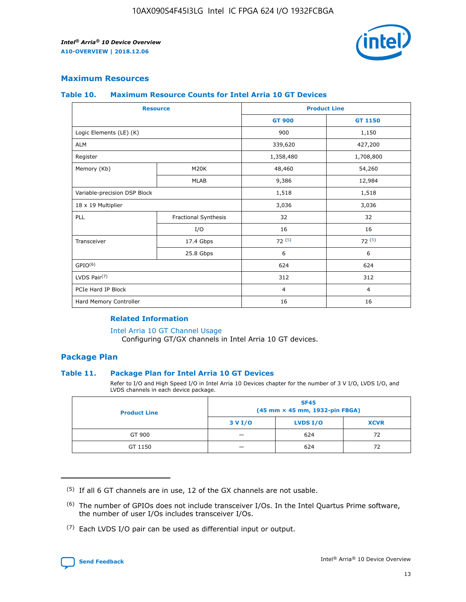

# **Maximum Resources**

#### **Table 10. Maximum Resource Counts for Intel Arria 10 GT Devices**

| <b>Resource</b>              |                      |                | <b>Product Line</b> |  |
|------------------------------|----------------------|----------------|---------------------|--|
|                              |                      | <b>GT 900</b>  | GT 1150             |  |
| Logic Elements (LE) (K)      |                      | 900            | 1,150               |  |
| <b>ALM</b>                   |                      | 339,620        | 427,200             |  |
| Register                     |                      | 1,358,480      | 1,708,800           |  |
| Memory (Kb)                  | M <sub>20</sub> K    | 48,460         | 54,260              |  |
|                              | <b>MLAB</b>          | 9,386          | 12,984              |  |
| Variable-precision DSP Block |                      | 1,518          | 1,518               |  |
| 18 x 19 Multiplier           |                      | 3,036          | 3,036               |  |
| PLL                          | Fractional Synthesis | 32             | 32                  |  |
|                              | I/O                  | 16             | 16                  |  |
| Transceiver                  | 17.4 Gbps            | 72(5)          | 72(5)               |  |
|                              | 25.8 Gbps            | 6              | 6                   |  |
| GPIO <sup>(6)</sup>          |                      | 624            | 624                 |  |
| LVDS Pair $(7)$              |                      | 312            | 312                 |  |
| PCIe Hard IP Block           |                      | $\overline{4}$ | $\overline{4}$      |  |
| Hard Memory Controller       |                      | 16             | 16                  |  |

#### **Related Information**

#### [Intel Arria 10 GT Channel Usage](https://www.intel.com/content/www/us/en/programmable/documentation/nik1398707230472.html#nik1398707008178)

Configuring GT/GX channels in Intel Arria 10 GT devices.

## **Package Plan**

### **Table 11. Package Plan for Intel Arria 10 GT Devices**

Refer to I/O and High Speed I/O in Intel Arria 10 Devices chapter for the number of 3 V I/O, LVDS I/O, and LVDS channels in each device package.

| <b>Product Line</b> | <b>SF45</b><br>(45 mm × 45 mm, 1932-pin FBGA) |                 |             |  |  |  |
|---------------------|-----------------------------------------------|-----------------|-------------|--|--|--|
|                     | 3 V I/O                                       | <b>LVDS I/O</b> | <b>XCVR</b> |  |  |  |
| GT 900              |                                               | 624             | 72          |  |  |  |
| GT 1150             |                                               | 624             | 72          |  |  |  |

<sup>(7)</sup> Each LVDS I/O pair can be used as differential input or output.



 $(5)$  If all 6 GT channels are in use, 12 of the GX channels are not usable.

<sup>(6)</sup> The number of GPIOs does not include transceiver I/Os. In the Intel Quartus Prime software, the number of user I/Os includes transceiver I/Os.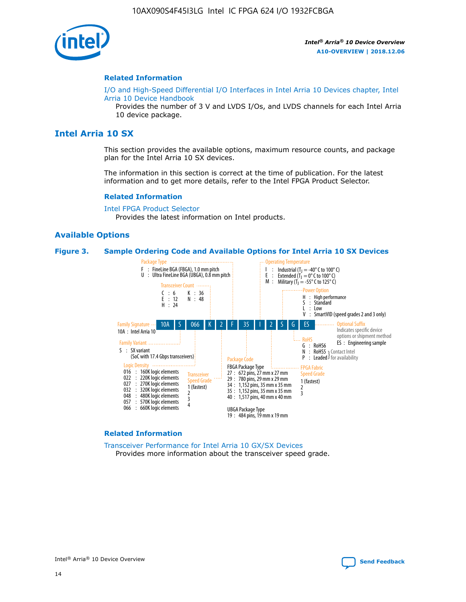

#### **Related Information**

[I/O and High-Speed Differential I/O Interfaces in Intel Arria 10 Devices chapter, Intel](https://www.intel.com/content/www/us/en/programmable/documentation/sam1403482614086.html#sam1403482030321) [Arria 10 Device Handbook](https://www.intel.com/content/www/us/en/programmable/documentation/sam1403482614086.html#sam1403482030321)

Provides the number of 3 V and LVDS I/Os, and LVDS channels for each Intel Arria 10 device package.

# **Intel Arria 10 SX**

This section provides the available options, maximum resource counts, and package plan for the Intel Arria 10 SX devices.

The information in this section is correct at the time of publication. For the latest information and to get more details, refer to the Intel FPGA Product Selector.

#### **Related Information**

[Intel FPGA Product Selector](http://www.altera.com/products/selector/psg-selector.html) Provides the latest information on Intel products.

#### **Available Options**

#### **Figure 3. Sample Ordering Code and Available Options for Intel Arria 10 SX Devices**



#### **Related Information**

[Transceiver Performance for Intel Arria 10 GX/SX Devices](https://www.intel.com/content/www/us/en/programmable/documentation/mcn1413182292568.html#mcn1413213965502) Provides more information about the transceiver speed grade.

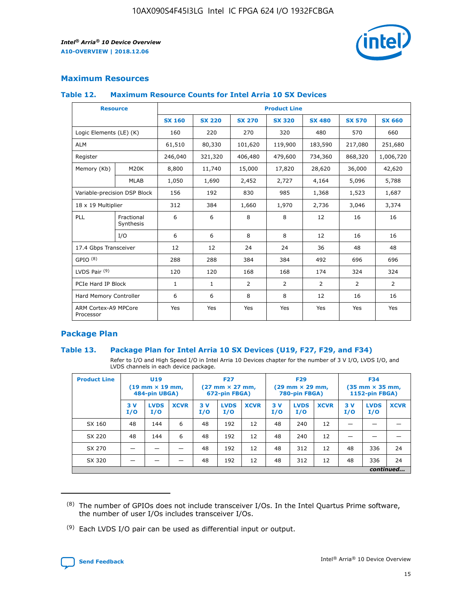

## **Maximum Resources**

#### **Table 12. Maximum Resource Counts for Intel Arria 10 SX Devices**

|                                   | <b>Resource</b>         | <b>Product Line</b> |               |                |                |                |                |                |  |  |  |
|-----------------------------------|-------------------------|---------------------|---------------|----------------|----------------|----------------|----------------|----------------|--|--|--|
|                                   |                         | <b>SX 160</b>       | <b>SX 220</b> | <b>SX 270</b>  | <b>SX 320</b>  | <b>SX 480</b>  | <b>SX 570</b>  | <b>SX 660</b>  |  |  |  |
| Logic Elements (LE) (K)           |                         | 160                 | 220           | 270            | 320            | 480            | 570            | 660            |  |  |  |
| <b>ALM</b>                        |                         | 61,510              | 80,330        | 101,620        | 119,900        | 183,590        | 217,080        | 251,680        |  |  |  |
| Register                          |                         | 246,040             | 321,320       | 406,480        | 479,600        | 734,360        | 868,320        | 1,006,720      |  |  |  |
| Memory (Kb)                       | <b>M20K</b>             | 8,800               | 11,740        | 15,000         | 17,820         | 28,620         | 36,000         | 42,620         |  |  |  |
|                                   | <b>MLAB</b>             | 1,050               | 1,690         | 2,452          | 2,727          | 4,164          | 5,096          | 5,788          |  |  |  |
| Variable-precision DSP Block      |                         | 156                 | 192           | 830            | 985            | 1,368          | 1,523          | 1,687          |  |  |  |
| 18 x 19 Multiplier                |                         | 312                 | 384           | 1,660          | 1,970          | 2,736          | 3,046          | 3,374          |  |  |  |
| <b>PLL</b>                        | Fractional<br>Synthesis | 6                   | 6             | 8              | 8              | 12             | 16             | 16             |  |  |  |
|                                   | I/O                     | 6                   | 6             | 8              | 8              | 12             | 16             | 16             |  |  |  |
| 17.4 Gbps Transceiver             |                         | 12                  | 12            | 24             | 24             | 36             | 48             | 48             |  |  |  |
| GPIO <sup>(8)</sup>               |                         | 288                 | 288           | 384            | 384            | 492            | 696            | 696            |  |  |  |
| LVDS Pair $(9)$                   |                         | 120                 | 120           | 168            | 168            | 174            | 324            | 324            |  |  |  |
| PCIe Hard IP Block                |                         | $\mathbf{1}$        | $\mathbf{1}$  | $\overline{2}$ | $\overline{2}$ | $\overline{2}$ | $\overline{2}$ | $\overline{2}$ |  |  |  |
| Hard Memory Controller            |                         | 6                   | 6             | 8              | 8              | 12             | 16             | 16             |  |  |  |
| ARM Cortex-A9 MPCore<br>Processor |                         | Yes                 | Yes           | Yes            | Yes            | Yes            | Yes            | Yes            |  |  |  |

# **Package Plan**

### **Table 13. Package Plan for Intel Arria 10 SX Devices (U19, F27, F29, and F34)**

Refer to I/O and High Speed I/O in Intel Arria 10 Devices chapter for the number of 3 V I/O, LVDS I/O, and LVDS channels in each device package.

| <b>Product Line</b> | <b>U19</b><br>$(19 \text{ mm} \times 19 \text{ mm})$<br>484-pin UBGA) |                    |             | <b>F27</b><br>$(27 \text{ mm} \times 27 \text{ mm})$<br>672-pin FBGA) |                    | <b>F29</b><br>$(29 \text{ mm} \times 29 \text{ mm})$<br>780-pin FBGA) |           |                    | <b>F34</b><br>$(35 \text{ mm} \times 35 \text{ mm})$<br><b>1152-pin FBGA)</b> |           |                    |             |
|---------------------|-----------------------------------------------------------------------|--------------------|-------------|-----------------------------------------------------------------------|--------------------|-----------------------------------------------------------------------|-----------|--------------------|-------------------------------------------------------------------------------|-----------|--------------------|-------------|
|                     | 3V<br>I/O                                                             | <b>LVDS</b><br>I/O | <b>XCVR</b> | 3V<br>I/O                                                             | <b>LVDS</b><br>I/O | <b>XCVR</b>                                                           | 3V<br>I/O | <b>LVDS</b><br>I/O | <b>XCVR</b>                                                                   | 3V<br>I/O | <b>LVDS</b><br>I/O | <b>XCVR</b> |
| SX 160              | 48                                                                    | 144                | 6           | 48                                                                    | 192                | 12                                                                    | 48        | 240                | 12                                                                            | -         |                    |             |
| SX 220              | 48                                                                    | 144                | 6           | 48                                                                    | 192                | 12                                                                    | 48        | 240                | 12                                                                            |           |                    |             |
| SX 270              |                                                                       |                    |             | 48                                                                    | 192                | 12                                                                    | 48        | 312                | 12                                                                            | 48        | 336                | 24          |
| SX 320              |                                                                       |                    |             | 48                                                                    | 192                | 12                                                                    | 48        | 312                | 12                                                                            | 48        | 336                | 24          |
|                     | continued                                                             |                    |             |                                                                       |                    |                                                                       |           |                    |                                                                               |           |                    |             |

 $(8)$  The number of GPIOs does not include transceiver I/Os. In the Intel Quartus Prime software, the number of user I/Os includes transceiver I/Os.

 $(9)$  Each LVDS I/O pair can be used as differential input or output.

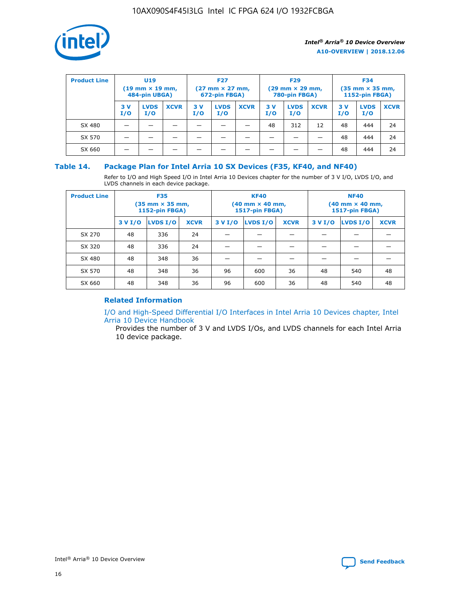

| <b>Product Line</b> | U <sub>19</sub><br>$(19 \text{ mm} \times 19 \text{ mm})$<br>484-pin UBGA) |                    | <b>F27</b><br>$(27 \text{ mm} \times 27 \text{ mm})$<br>672-pin FBGA) |           | <b>F29</b><br>$(29 \text{ mm} \times 29 \text{ mm})$<br>780-pin FBGA) |             |           | <b>F34</b><br>$(35 \text{ mm} \times 35 \text{ mm})$<br><b>1152-pin FBGA)</b> |             |           |                    |             |
|---------------------|----------------------------------------------------------------------------|--------------------|-----------------------------------------------------------------------|-----------|-----------------------------------------------------------------------|-------------|-----------|-------------------------------------------------------------------------------|-------------|-----------|--------------------|-------------|
|                     | 3 V<br>I/O                                                                 | <b>LVDS</b><br>I/O | <b>XCVR</b>                                                           | 3V<br>I/O | <b>LVDS</b><br>I/O                                                    | <b>XCVR</b> | 3V<br>I/O | <b>LVDS</b><br>I/O                                                            | <b>XCVR</b> | 3V<br>I/O | <b>LVDS</b><br>I/O | <b>XCVR</b> |
| SX 480              |                                                                            |                    |                                                                       |           |                                                                       |             | 48        | 312                                                                           | 12          | 48        | 444                | 24          |
| SX 570              |                                                                            |                    |                                                                       |           |                                                                       |             |           |                                                                               |             | 48        | 444                | 24          |
| SX 660              |                                                                            |                    |                                                                       |           |                                                                       |             |           |                                                                               |             | 48        | 444                | 24          |

## **Table 14. Package Plan for Intel Arria 10 SX Devices (F35, KF40, and NF40)**

Refer to I/O and High Speed I/O in Intel Arria 10 Devices chapter for the number of 3 V I/O, LVDS I/O, and LVDS channels in each device package.

| <b>Product Line</b> | <b>F35</b><br>(35 mm × 35 mm,<br>1152-pin FBGA) |          |             |                                           | <b>KF40</b><br>(40 mm × 40 mm,<br>1517-pin FBGA) |    | <b>NF40</b><br>(40 mm × 40 mm,<br>1517-pin FBGA) |          |             |  |
|---------------------|-------------------------------------------------|----------|-------------|-------------------------------------------|--------------------------------------------------|----|--------------------------------------------------|----------|-------------|--|
|                     | 3 V I/O                                         | LVDS I/O | <b>XCVR</b> | <b>LVDS I/O</b><br>3 V I/O<br><b>XCVR</b> |                                                  |    | 3 V I/O                                          | LVDS I/O | <b>XCVR</b> |  |
| SX 270              | 48                                              | 336      | 24          |                                           |                                                  |    |                                                  |          |             |  |
| SX 320              | 48                                              | 336      | 24          |                                           |                                                  |    |                                                  |          |             |  |
| SX 480              | 48                                              | 348      | 36          |                                           |                                                  |    |                                                  |          |             |  |
| SX 570              | 48                                              | 348      | 36          | 96                                        | 600                                              | 36 | 48                                               | 540      | 48          |  |
| SX 660              | 48                                              | 348      | 36          | 96                                        | 600                                              | 36 | 48                                               | 540      | 48          |  |

# **Related Information**

[I/O and High-Speed Differential I/O Interfaces in Intel Arria 10 Devices chapter, Intel](https://www.intel.com/content/www/us/en/programmable/documentation/sam1403482614086.html#sam1403482030321) [Arria 10 Device Handbook](https://www.intel.com/content/www/us/en/programmable/documentation/sam1403482614086.html#sam1403482030321)

Provides the number of 3 V and LVDS I/Os, and LVDS channels for each Intel Arria 10 device package.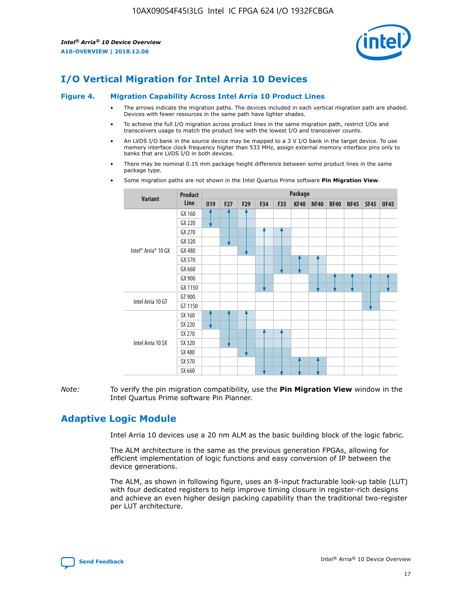

# **I/O Vertical Migration for Intel Arria 10 Devices**

#### **Figure 4. Migration Capability Across Intel Arria 10 Product Lines**

- The arrows indicate the migration paths. The devices included in each vertical migration path are shaded. Devices with fewer resources in the same path have lighter shades.
- To achieve the full I/O migration across product lines in the same migration path, restrict I/Os and transceivers usage to match the product line with the lowest I/O and transceiver counts.
- An LVDS I/O bank in the source device may be mapped to a 3 V I/O bank in the target device. To use memory interface clock frequency higher than 533 MHz, assign external memory interface pins only to banks that are LVDS I/O in both devices.
- There may be nominal 0.15 mm package height difference between some product lines in the same package type.
	- **Variant Product Line Package U19 F27 F29 F34 F35 KF40 NF40 RF40 NF45 SF45 UF45** Intel® Arria® 10 GX GX 160 GX 220 GX 270 GX 320 GX 480 GX 570 GX 660 GX 900 GX 1150 Intel Arria 10 GT GT 900 GT 1150 Intel Arria 10 SX SX 160 SX 220 SX 270 SX 320 SX 480 SX 570 SX 660
- Some migration paths are not shown in the Intel Quartus Prime software **Pin Migration View**.

*Note:* To verify the pin migration compatibility, use the **Pin Migration View** window in the Intel Quartus Prime software Pin Planner.

# **Adaptive Logic Module**

Intel Arria 10 devices use a 20 nm ALM as the basic building block of the logic fabric.

The ALM architecture is the same as the previous generation FPGAs, allowing for efficient implementation of logic functions and easy conversion of IP between the device generations.

The ALM, as shown in following figure, uses an 8-input fracturable look-up table (LUT) with four dedicated registers to help improve timing closure in register-rich designs and achieve an even higher design packing capability than the traditional two-register per LUT architecture.

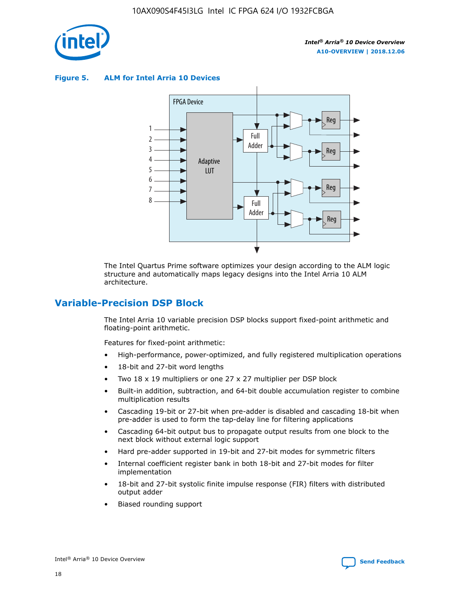

**Figure 5. ALM for Intel Arria 10 Devices**



The Intel Quartus Prime software optimizes your design according to the ALM logic structure and automatically maps legacy designs into the Intel Arria 10 ALM architecture.

# **Variable-Precision DSP Block**

The Intel Arria 10 variable precision DSP blocks support fixed-point arithmetic and floating-point arithmetic.

Features for fixed-point arithmetic:

- High-performance, power-optimized, and fully registered multiplication operations
- 18-bit and 27-bit word lengths
- Two 18 x 19 multipliers or one 27 x 27 multiplier per DSP block
- Built-in addition, subtraction, and 64-bit double accumulation register to combine multiplication results
- Cascading 19-bit or 27-bit when pre-adder is disabled and cascading 18-bit when pre-adder is used to form the tap-delay line for filtering applications
- Cascading 64-bit output bus to propagate output results from one block to the next block without external logic support
- Hard pre-adder supported in 19-bit and 27-bit modes for symmetric filters
- Internal coefficient register bank in both 18-bit and 27-bit modes for filter implementation
- 18-bit and 27-bit systolic finite impulse response (FIR) filters with distributed output adder
- Biased rounding support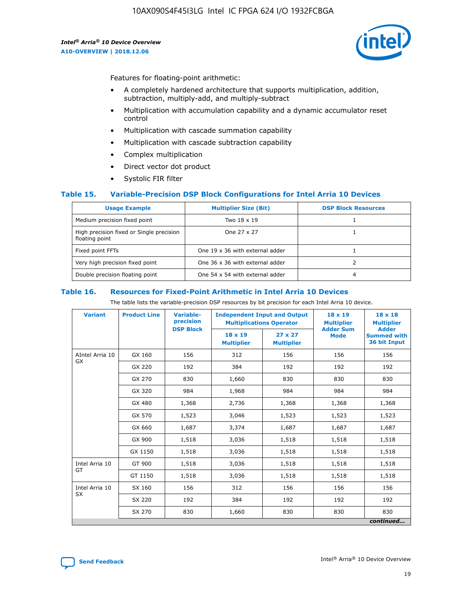

Features for floating-point arithmetic:

- A completely hardened architecture that supports multiplication, addition, subtraction, multiply-add, and multiply-subtract
- Multiplication with accumulation capability and a dynamic accumulator reset control
- Multiplication with cascade summation capability
- Multiplication with cascade subtraction capability
- Complex multiplication
- Direct vector dot product
- Systolic FIR filter

### **Table 15. Variable-Precision DSP Block Configurations for Intel Arria 10 Devices**

| <b>Usage Example</b>                                       | <b>Multiplier Size (Bit)</b>    | <b>DSP Block Resources</b> |
|------------------------------------------------------------|---------------------------------|----------------------------|
| Medium precision fixed point                               | Two 18 x 19                     |                            |
| High precision fixed or Single precision<br>floating point | One 27 x 27                     |                            |
| Fixed point FFTs                                           | One 19 x 36 with external adder |                            |
| Very high precision fixed point                            | One 36 x 36 with external adder |                            |
| Double precision floating point                            | One 54 x 54 with external adder | 4                          |

#### **Table 16. Resources for Fixed-Point Arithmetic in Intel Arria 10 Devices**

The table lists the variable-precision DSP resources by bit precision for each Intel Arria 10 device.

| <b>Variant</b>        | <b>Product Line</b> | <b>Variable-</b><br>precision<br><b>DSP Block</b> | <b>Independent Input and Output</b><br><b>Multiplications Operator</b> |                                     | 18 x 19<br><b>Multiplier</b><br><b>Adder Sum</b> | $18 \times 18$<br><b>Multiplier</b><br><b>Adder</b> |
|-----------------------|---------------------|---------------------------------------------------|------------------------------------------------------------------------|-------------------------------------|--------------------------------------------------|-----------------------------------------------------|
|                       |                     |                                                   | 18 x 19<br><b>Multiplier</b>                                           | $27 \times 27$<br><b>Multiplier</b> | <b>Mode</b>                                      | <b>Summed with</b><br>36 bit Input                  |
| AIntel Arria 10<br>GX | GX 160              | 156                                               | 312                                                                    | 156                                 | 156                                              | 156                                                 |
|                       | GX 220              | 192                                               | 384                                                                    | 192                                 | 192                                              | 192                                                 |
|                       | GX 270              | 830                                               | 1,660                                                                  | 830                                 | 830                                              | 830                                                 |
|                       | GX 320              | 984                                               | 1,968                                                                  | 984                                 | 984                                              | 984                                                 |
|                       | GX 480              | 1,368                                             | 2,736                                                                  | 1,368                               | 1,368                                            | 1,368                                               |
|                       | GX 570              | 1,523                                             | 3,046                                                                  | 1,523                               | 1,523                                            | 1,523                                               |
|                       | GX 660              | 1,687                                             | 3,374                                                                  | 1,687                               | 1,687                                            | 1,687                                               |
|                       | GX 900              | 1,518                                             | 3,036                                                                  | 1,518                               | 1,518                                            | 1,518                                               |
|                       | GX 1150             | 1,518                                             | 3,036                                                                  | 1,518                               | 1,518                                            | 1,518                                               |
| Intel Arria 10        | GT 900              | 1,518                                             | 3,036                                                                  | 1,518                               | 1,518                                            | 1,518                                               |
| GT                    | GT 1150             | 1,518                                             | 3,036                                                                  | 1,518                               | 1,518                                            | 1,518                                               |
| Intel Arria 10        | SX 160              | 156                                               | 312                                                                    | 156                                 | 156                                              | 156                                                 |
| <b>SX</b>             | SX 220              | 192                                               | 384                                                                    | 192                                 | 192                                              | 192                                                 |
|                       | SX 270              | 830                                               | 1,660                                                                  | 830                                 | 830                                              | 830                                                 |
|                       |                     |                                                   |                                                                        |                                     |                                                  | continued                                           |

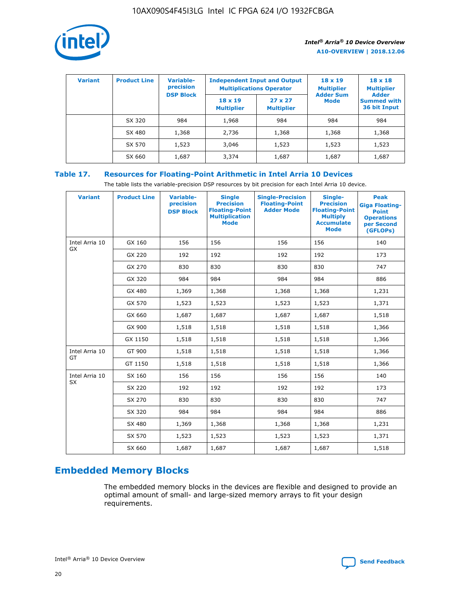

| <b>Variant</b> | <b>Product Line</b> | Variable-<br>precision | <b>Multiplications Operator</b>     | <b>Independent Input and Output</b> | $18 \times 19$<br><b>Multiplier</b> | $18 \times 18$<br><b>Multiplier</b><br><b>Adder</b> |  |
|----------------|---------------------|------------------------|-------------------------------------|-------------------------------------|-------------------------------------|-----------------------------------------------------|--|
|                |                     | <b>DSP Block</b>       | $18 \times 19$<br><b>Multiplier</b> | $27 \times 27$<br><b>Multiplier</b> | <b>Adder Sum</b><br><b>Mode</b>     | <b>Summed with</b><br>36 bit Input                  |  |
|                | SX 320              | 984                    | 1,968                               | 984                                 | 984                                 | 984                                                 |  |
|                | SX 480              | 1,368                  | 2,736                               | 1,368                               | 1,368                               | 1,368                                               |  |
|                | SX 570              | 1,523                  | 3,046                               | 1,523                               | 1,523                               | 1,523                                               |  |
|                | SX 660              | 1,687                  | 3,374                               | 1,687                               | 1,687                               | 1,687                                               |  |

# **Table 17. Resources for Floating-Point Arithmetic in Intel Arria 10 Devices**

The table lists the variable-precision DSP resources by bit precision for each Intel Arria 10 device.

| <b>Variant</b>              | <b>Product Line</b> | <b>Variable-</b><br>precision<br><b>DSP Block</b> | <b>Single</b><br><b>Precision</b><br><b>Floating-Point</b><br><b>Multiplication</b><br><b>Mode</b> | <b>Single-Precision</b><br><b>Floating-Point</b><br><b>Adder Mode</b> | Single-<br><b>Precision</b><br><b>Floating-Point</b><br><b>Multiply</b><br><b>Accumulate</b><br><b>Mode</b> | <b>Peak</b><br><b>Giga Floating-</b><br><b>Point</b><br><b>Operations</b><br>per Second<br>(GFLOPs) |
|-----------------------------|---------------------|---------------------------------------------------|----------------------------------------------------------------------------------------------------|-----------------------------------------------------------------------|-------------------------------------------------------------------------------------------------------------|-----------------------------------------------------------------------------------------------------|
| Intel Arria 10<br><b>GX</b> | GX 160              | 156                                               | 156                                                                                                | 156                                                                   | 156                                                                                                         | 140                                                                                                 |
|                             | GX 220              | 192                                               | 192                                                                                                | 192                                                                   | 192                                                                                                         | 173                                                                                                 |
|                             | GX 270              | 830                                               | 830                                                                                                | 830                                                                   | 830                                                                                                         | 747                                                                                                 |
|                             | GX 320              | 984                                               | 984                                                                                                | 984                                                                   | 984                                                                                                         | 886                                                                                                 |
|                             | GX 480              | 1,369                                             | 1,368                                                                                              | 1,368                                                                 | 1,368                                                                                                       | 1,231                                                                                               |
|                             | GX 570              | 1,523                                             | 1,523                                                                                              | 1,523                                                                 | 1,523                                                                                                       | 1,371                                                                                               |
|                             | GX 660              | 1,687                                             | 1,687                                                                                              | 1,687                                                                 | 1,687                                                                                                       | 1,518                                                                                               |
|                             | GX 900              | 1,518                                             | 1,518                                                                                              | 1,518                                                                 | 1,518                                                                                                       | 1,366                                                                                               |
|                             | GX 1150             | 1,518                                             | 1,518                                                                                              | 1,518                                                                 | 1,518                                                                                                       | 1,366                                                                                               |
| Intel Arria 10              | GT 900              | 1,518                                             | 1,518                                                                                              | 1,518                                                                 | 1,518                                                                                                       | 1,366                                                                                               |
| GT                          | GT 1150             | 1,518                                             | 1,518                                                                                              | 1,518                                                                 | 1,518                                                                                                       | 1,366                                                                                               |
| Intel Arria 10              | SX 160              | 156                                               | 156                                                                                                | 156                                                                   | 156                                                                                                         | 140                                                                                                 |
| <b>SX</b>                   | SX 220              | 192                                               | 192                                                                                                | 192                                                                   | 192                                                                                                         | 173                                                                                                 |
|                             | SX 270              | 830                                               | 830                                                                                                | 830                                                                   | 830                                                                                                         | 747                                                                                                 |
|                             | SX 320              | 984                                               | 984                                                                                                | 984                                                                   | 984                                                                                                         | 886                                                                                                 |
|                             | SX 480              | 1,369                                             | 1,368                                                                                              | 1,368                                                                 | 1,368                                                                                                       | 1,231                                                                                               |
|                             | SX 570              | 1,523                                             | 1,523                                                                                              | 1,523                                                                 | 1,523                                                                                                       | 1,371                                                                                               |
|                             | SX 660              | 1,687                                             | 1,687                                                                                              | 1,687                                                                 | 1,687                                                                                                       | 1,518                                                                                               |

# **Embedded Memory Blocks**

The embedded memory blocks in the devices are flexible and designed to provide an optimal amount of small- and large-sized memory arrays to fit your design requirements.

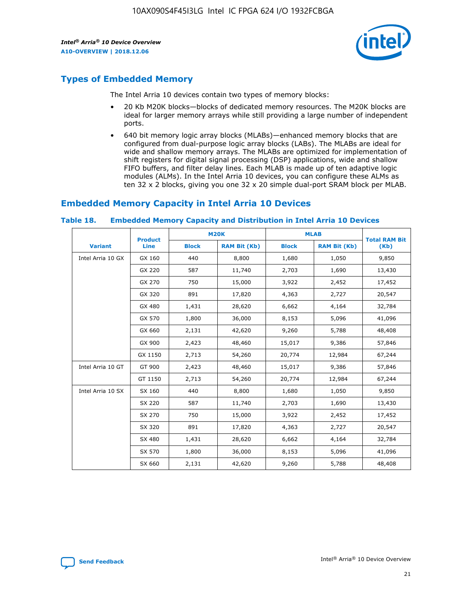

# **Types of Embedded Memory**

The Intel Arria 10 devices contain two types of memory blocks:

- 20 Kb M20K blocks—blocks of dedicated memory resources. The M20K blocks are ideal for larger memory arrays while still providing a large number of independent ports.
- 640 bit memory logic array blocks (MLABs)—enhanced memory blocks that are configured from dual-purpose logic array blocks (LABs). The MLABs are ideal for wide and shallow memory arrays. The MLABs are optimized for implementation of shift registers for digital signal processing (DSP) applications, wide and shallow FIFO buffers, and filter delay lines. Each MLAB is made up of ten adaptive logic modules (ALMs). In the Intel Arria 10 devices, you can configure these ALMs as ten 32 x 2 blocks, giving you one 32 x 20 simple dual-port SRAM block per MLAB.

# **Embedded Memory Capacity in Intel Arria 10 Devices**

|                   | <b>Product</b> |              | <b>M20K</b>         | <b>MLAB</b>  |                     | <b>Total RAM Bit</b> |
|-------------------|----------------|--------------|---------------------|--------------|---------------------|----------------------|
| <b>Variant</b>    | Line           | <b>Block</b> | <b>RAM Bit (Kb)</b> | <b>Block</b> | <b>RAM Bit (Kb)</b> | (Kb)                 |
| Intel Arria 10 GX | GX 160         | 440          | 8,800               | 1,680        | 1,050               | 9,850                |
|                   | GX 220         | 587          | 11,740              | 2,703        | 1,690               | 13,430               |
|                   | GX 270         | 750          | 15,000              | 3,922        | 2,452               | 17,452               |
|                   | GX 320         | 891          | 17,820              | 4,363        | 2,727               | 20,547               |
|                   | GX 480         | 1,431        | 28,620              | 6,662        | 4,164               | 32,784               |
|                   | GX 570         | 1,800        | 36,000              | 8,153        | 5,096               | 41,096               |
|                   | GX 660         | 2,131        | 42,620              | 9,260        | 5,788               | 48,408               |
|                   | GX 900         | 2,423        | 48,460              | 15,017       | 9,386               | 57,846               |
|                   | GX 1150        | 2,713        | 54,260              | 20,774       | 12,984              | 67,244               |
| Intel Arria 10 GT | GT 900         | 2,423        | 48,460              | 15,017       | 9,386               | 57,846               |
|                   | GT 1150        | 2,713        | 54,260              | 20,774       | 12,984              | 67,244               |
| Intel Arria 10 SX | SX 160         | 440          | 8,800               | 1,680        | 1,050               | 9,850                |
|                   | SX 220         | 587          | 11,740              | 2,703        | 1,690               | 13,430               |
|                   | SX 270         | 750          | 15,000              | 3,922        | 2,452               | 17,452               |
|                   | SX 320         | 891          | 17,820              | 4,363        | 2,727               | 20,547               |
|                   | SX 480         | 1,431        | 28,620              | 6,662        | 4,164               | 32,784               |
|                   | SX 570         | 1,800        | 36,000              | 8,153        | 5,096               | 41,096               |
|                   | SX 660         | 2,131        | 42,620              | 9,260        | 5,788               | 48,408               |

#### **Table 18. Embedded Memory Capacity and Distribution in Intel Arria 10 Devices**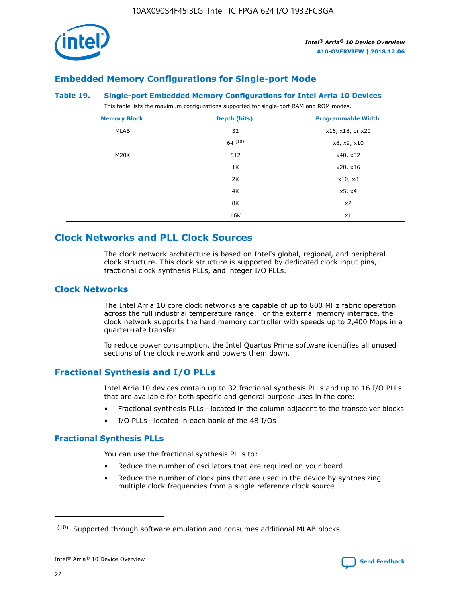

# **Embedded Memory Configurations for Single-port Mode**

#### **Table 19. Single-port Embedded Memory Configurations for Intel Arria 10 Devices**

This table lists the maximum configurations supported for single-port RAM and ROM modes.

| <b>Memory Block</b> | Depth (bits) | <b>Programmable Width</b> |
|---------------------|--------------|---------------------------|
| MLAB                | 32           | x16, x18, or x20          |
|                     | 64(10)       | x8, x9, x10               |
| M20K                | 512          | x40, x32                  |
|                     | 1K           | x20, x16                  |
|                     | 2K           | x10, x8                   |
|                     | 4K           | x5, x4                    |
|                     | 8K           | x2                        |
|                     | 16K          | x1                        |

# **Clock Networks and PLL Clock Sources**

The clock network architecture is based on Intel's global, regional, and peripheral clock structure. This clock structure is supported by dedicated clock input pins, fractional clock synthesis PLLs, and integer I/O PLLs.

# **Clock Networks**

The Intel Arria 10 core clock networks are capable of up to 800 MHz fabric operation across the full industrial temperature range. For the external memory interface, the clock network supports the hard memory controller with speeds up to 2,400 Mbps in a quarter-rate transfer.

To reduce power consumption, the Intel Quartus Prime software identifies all unused sections of the clock network and powers them down.

# **Fractional Synthesis and I/O PLLs**

Intel Arria 10 devices contain up to 32 fractional synthesis PLLs and up to 16 I/O PLLs that are available for both specific and general purpose uses in the core:

- Fractional synthesis PLLs—located in the column adjacent to the transceiver blocks
- I/O PLLs—located in each bank of the 48 I/Os

# **Fractional Synthesis PLLs**

You can use the fractional synthesis PLLs to:

- Reduce the number of oscillators that are required on your board
- Reduce the number of clock pins that are used in the device by synthesizing multiple clock frequencies from a single reference clock source

<sup>(10)</sup> Supported through software emulation and consumes additional MLAB blocks.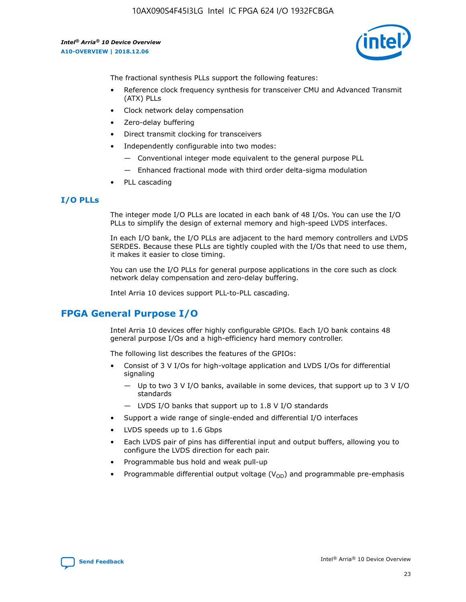

The fractional synthesis PLLs support the following features:

- Reference clock frequency synthesis for transceiver CMU and Advanced Transmit (ATX) PLLs
- Clock network delay compensation
- Zero-delay buffering
- Direct transmit clocking for transceivers
- Independently configurable into two modes:
	- Conventional integer mode equivalent to the general purpose PLL
	- Enhanced fractional mode with third order delta-sigma modulation
- PLL cascading

# **I/O PLLs**

The integer mode I/O PLLs are located in each bank of 48 I/Os. You can use the I/O PLLs to simplify the design of external memory and high-speed LVDS interfaces.

In each I/O bank, the I/O PLLs are adjacent to the hard memory controllers and LVDS SERDES. Because these PLLs are tightly coupled with the I/Os that need to use them, it makes it easier to close timing.

You can use the I/O PLLs for general purpose applications in the core such as clock network delay compensation and zero-delay buffering.

Intel Arria 10 devices support PLL-to-PLL cascading.

# **FPGA General Purpose I/O**

Intel Arria 10 devices offer highly configurable GPIOs. Each I/O bank contains 48 general purpose I/Os and a high-efficiency hard memory controller.

The following list describes the features of the GPIOs:

- Consist of 3 V I/Os for high-voltage application and LVDS I/Os for differential signaling
	- Up to two 3 V I/O banks, available in some devices, that support up to 3 V I/O standards
	- LVDS I/O banks that support up to 1.8 V I/O standards
- Support a wide range of single-ended and differential I/O interfaces
- LVDS speeds up to 1.6 Gbps
- Each LVDS pair of pins has differential input and output buffers, allowing you to configure the LVDS direction for each pair.
- Programmable bus hold and weak pull-up
- Programmable differential output voltage  $(V_{OD})$  and programmable pre-emphasis

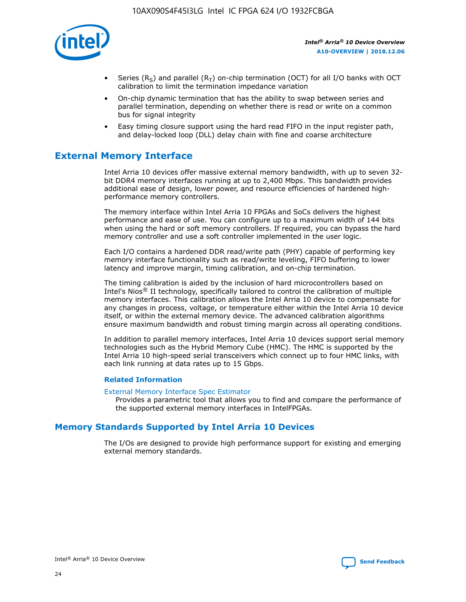

- Series (R<sub>S</sub>) and parallel (R<sub>T</sub>) on-chip termination (OCT) for all I/O banks with OCT calibration to limit the termination impedance variation
- On-chip dynamic termination that has the ability to swap between series and parallel termination, depending on whether there is read or write on a common bus for signal integrity
- Easy timing closure support using the hard read FIFO in the input register path, and delay-locked loop (DLL) delay chain with fine and coarse architecture

# **External Memory Interface**

Intel Arria 10 devices offer massive external memory bandwidth, with up to seven 32 bit DDR4 memory interfaces running at up to 2,400 Mbps. This bandwidth provides additional ease of design, lower power, and resource efficiencies of hardened highperformance memory controllers.

The memory interface within Intel Arria 10 FPGAs and SoCs delivers the highest performance and ease of use. You can configure up to a maximum width of 144 bits when using the hard or soft memory controllers. If required, you can bypass the hard memory controller and use a soft controller implemented in the user logic.

Each I/O contains a hardened DDR read/write path (PHY) capable of performing key memory interface functionality such as read/write leveling, FIFO buffering to lower latency and improve margin, timing calibration, and on-chip termination.

The timing calibration is aided by the inclusion of hard microcontrollers based on Intel's Nios® II technology, specifically tailored to control the calibration of multiple memory interfaces. This calibration allows the Intel Arria 10 device to compensate for any changes in process, voltage, or temperature either within the Intel Arria 10 device itself, or within the external memory device. The advanced calibration algorithms ensure maximum bandwidth and robust timing margin across all operating conditions.

In addition to parallel memory interfaces, Intel Arria 10 devices support serial memory technologies such as the Hybrid Memory Cube (HMC). The HMC is supported by the Intel Arria 10 high-speed serial transceivers which connect up to four HMC links, with each link running at data rates up to 15 Gbps.

### **Related Information**

#### [External Memory Interface Spec Estimator](http://www.altera.com/technology/memory/estimator/mem-emif-index.html)

Provides a parametric tool that allows you to find and compare the performance of the supported external memory interfaces in IntelFPGAs.

# **Memory Standards Supported by Intel Arria 10 Devices**

The I/Os are designed to provide high performance support for existing and emerging external memory standards.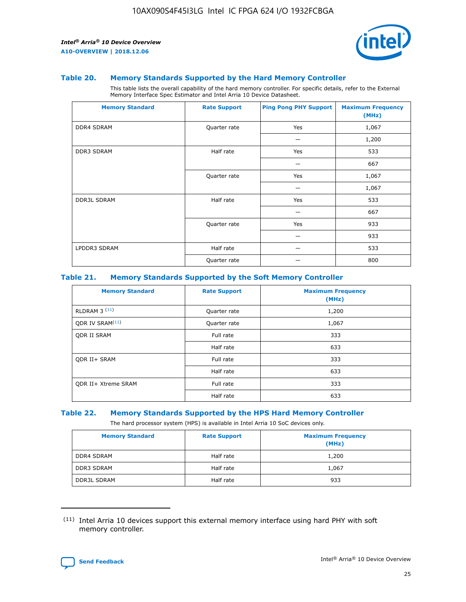

#### **Table 20. Memory Standards Supported by the Hard Memory Controller**

This table lists the overall capability of the hard memory controller. For specific details, refer to the External Memory Interface Spec Estimator and Intel Arria 10 Device Datasheet.

| <b>Memory Standard</b> | <b>Rate Support</b> | <b>Ping Pong PHY Support</b> | <b>Maximum Frequency</b><br>(MHz) |
|------------------------|---------------------|------------------------------|-----------------------------------|
| <b>DDR4 SDRAM</b>      | Quarter rate        | Yes                          | 1,067                             |
|                        |                     |                              | 1,200                             |
| DDR3 SDRAM             | Half rate           | Yes                          | 533                               |
|                        |                     |                              | 667                               |
|                        | Quarter rate        | Yes                          | 1,067                             |
|                        |                     |                              | 1,067                             |
| <b>DDR3L SDRAM</b>     | Half rate           | Yes                          | 533                               |
|                        |                     |                              | 667                               |
|                        | Quarter rate        | Yes                          | 933                               |
|                        |                     |                              | 933                               |
| LPDDR3 SDRAM           | Half rate           |                              | 533                               |
|                        | Quarter rate        |                              | 800                               |

### **Table 21. Memory Standards Supported by the Soft Memory Controller**

| <b>Memory Standard</b>      | <b>Rate Support</b> | <b>Maximum Frequency</b><br>(MHz) |
|-----------------------------|---------------------|-----------------------------------|
| <b>RLDRAM 3 (11)</b>        | Quarter rate        | 1,200                             |
| ODR IV SRAM <sup>(11)</sup> | Quarter rate        | 1,067                             |
| <b>ODR II SRAM</b>          | Full rate           | 333                               |
|                             | Half rate           | 633                               |
| <b>ODR II+ SRAM</b>         | Full rate           | 333                               |
|                             | Half rate           | 633                               |
| <b>ODR II+ Xtreme SRAM</b>  | Full rate           | 333                               |
|                             | Half rate           | 633                               |

#### **Table 22. Memory Standards Supported by the HPS Hard Memory Controller**

The hard processor system (HPS) is available in Intel Arria 10 SoC devices only.

| <b>Memory Standard</b> | <b>Rate Support</b> | <b>Maximum Frequency</b><br>(MHz) |
|------------------------|---------------------|-----------------------------------|
| <b>DDR4 SDRAM</b>      | Half rate           | 1,200                             |
| <b>DDR3 SDRAM</b>      | Half rate           | 1,067                             |
| <b>DDR3L SDRAM</b>     | Half rate           | 933                               |

<sup>(11)</sup> Intel Arria 10 devices support this external memory interface using hard PHY with soft memory controller.

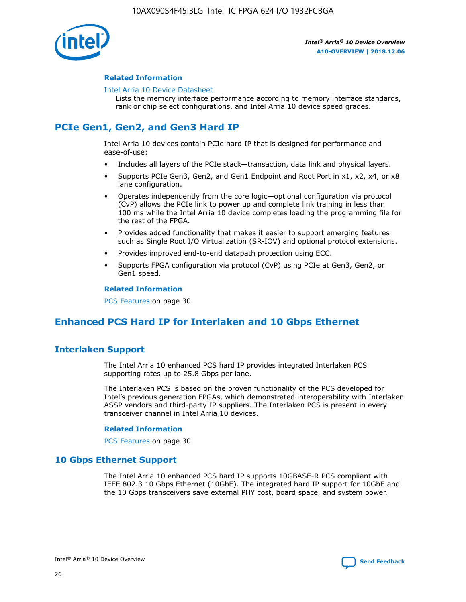

### **Related Information**

#### [Intel Arria 10 Device Datasheet](https://www.intel.com/content/www/us/en/programmable/documentation/mcn1413182292568.html#mcn1413182153340)

Lists the memory interface performance according to memory interface standards, rank or chip select configurations, and Intel Arria 10 device speed grades.

# **PCIe Gen1, Gen2, and Gen3 Hard IP**

Intel Arria 10 devices contain PCIe hard IP that is designed for performance and ease-of-use:

- Includes all layers of the PCIe stack—transaction, data link and physical layers.
- Supports PCIe Gen3, Gen2, and Gen1 Endpoint and Root Port in x1, x2, x4, or x8 lane configuration.
- Operates independently from the core logic—optional configuration via protocol (CvP) allows the PCIe link to power up and complete link training in less than 100 ms while the Intel Arria 10 device completes loading the programming file for the rest of the FPGA.
- Provides added functionality that makes it easier to support emerging features such as Single Root I/O Virtualization (SR-IOV) and optional protocol extensions.
- Provides improved end-to-end datapath protection using ECC.
- Supports FPGA configuration via protocol (CvP) using PCIe at Gen3, Gen2, or Gen1 speed.

#### **Related Information**

PCS Features on page 30

# **Enhanced PCS Hard IP for Interlaken and 10 Gbps Ethernet**

# **Interlaken Support**

The Intel Arria 10 enhanced PCS hard IP provides integrated Interlaken PCS supporting rates up to 25.8 Gbps per lane.

The Interlaken PCS is based on the proven functionality of the PCS developed for Intel's previous generation FPGAs, which demonstrated interoperability with Interlaken ASSP vendors and third-party IP suppliers. The Interlaken PCS is present in every transceiver channel in Intel Arria 10 devices.

### **Related Information**

PCS Features on page 30

# **10 Gbps Ethernet Support**

The Intel Arria 10 enhanced PCS hard IP supports 10GBASE-R PCS compliant with IEEE 802.3 10 Gbps Ethernet (10GbE). The integrated hard IP support for 10GbE and the 10 Gbps transceivers save external PHY cost, board space, and system power.

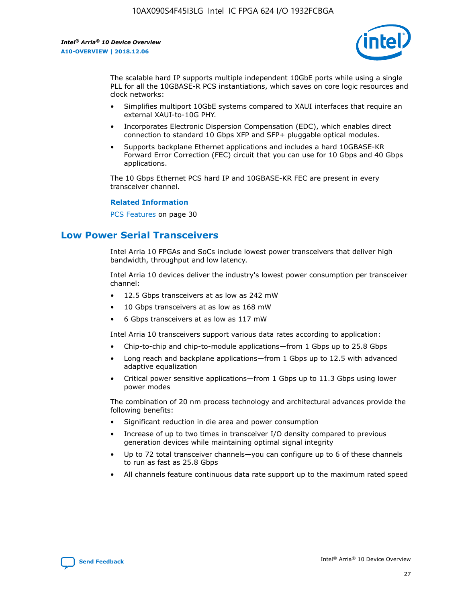

The scalable hard IP supports multiple independent 10GbE ports while using a single PLL for all the 10GBASE-R PCS instantiations, which saves on core logic resources and clock networks:

- Simplifies multiport 10GbE systems compared to XAUI interfaces that require an external XAUI-to-10G PHY.
- Incorporates Electronic Dispersion Compensation (EDC), which enables direct connection to standard 10 Gbps XFP and SFP+ pluggable optical modules.
- Supports backplane Ethernet applications and includes a hard 10GBASE-KR Forward Error Correction (FEC) circuit that you can use for 10 Gbps and 40 Gbps applications.

The 10 Gbps Ethernet PCS hard IP and 10GBASE-KR FEC are present in every transceiver channel.

#### **Related Information**

PCS Features on page 30

# **Low Power Serial Transceivers**

Intel Arria 10 FPGAs and SoCs include lowest power transceivers that deliver high bandwidth, throughput and low latency.

Intel Arria 10 devices deliver the industry's lowest power consumption per transceiver channel:

- 12.5 Gbps transceivers at as low as 242 mW
- 10 Gbps transceivers at as low as 168 mW
- 6 Gbps transceivers at as low as 117 mW

Intel Arria 10 transceivers support various data rates according to application:

- Chip-to-chip and chip-to-module applications—from 1 Gbps up to 25.8 Gbps
- Long reach and backplane applications—from 1 Gbps up to 12.5 with advanced adaptive equalization
- Critical power sensitive applications—from 1 Gbps up to 11.3 Gbps using lower power modes

The combination of 20 nm process technology and architectural advances provide the following benefits:

- Significant reduction in die area and power consumption
- Increase of up to two times in transceiver I/O density compared to previous generation devices while maintaining optimal signal integrity
- Up to 72 total transceiver channels—you can configure up to 6 of these channels to run as fast as 25.8 Gbps
- All channels feature continuous data rate support up to the maximum rated speed

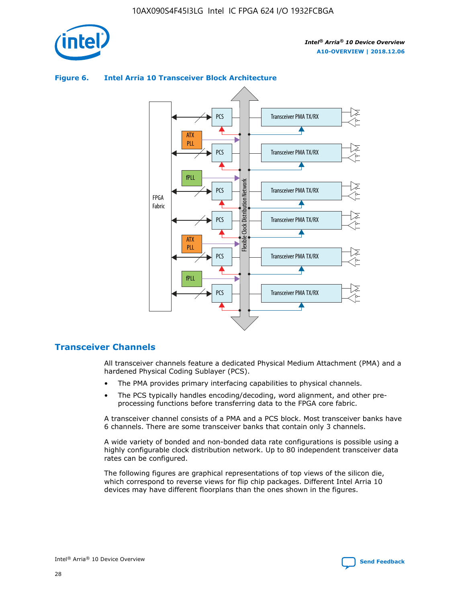



## **Figure 6. Intel Arria 10 Transceiver Block Architecture**

# **Transceiver Channels**

All transceiver channels feature a dedicated Physical Medium Attachment (PMA) and a hardened Physical Coding Sublayer (PCS).

- The PMA provides primary interfacing capabilities to physical channels.
- The PCS typically handles encoding/decoding, word alignment, and other preprocessing functions before transferring data to the FPGA core fabric.

A transceiver channel consists of a PMA and a PCS block. Most transceiver banks have 6 channels. There are some transceiver banks that contain only 3 channels.

A wide variety of bonded and non-bonded data rate configurations is possible using a highly configurable clock distribution network. Up to 80 independent transceiver data rates can be configured.

The following figures are graphical representations of top views of the silicon die, which correspond to reverse views for flip chip packages. Different Intel Arria 10 devices may have different floorplans than the ones shown in the figures.

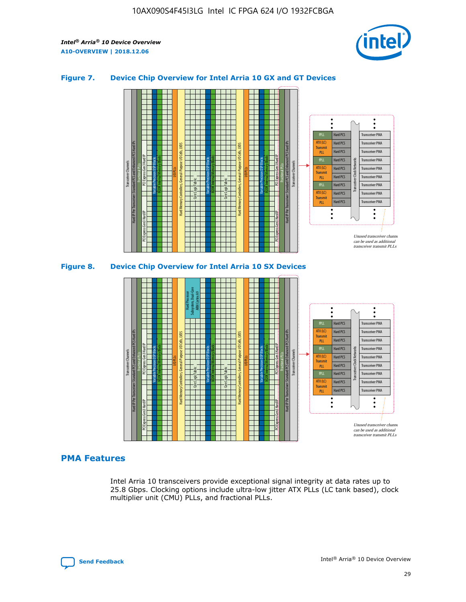

## **Figure 7. Device Chip Overview for Intel Arria 10 GX and GT Devices**



M20K Internal Memory Blocks Core Logic Fabric Transceiver Channels Hard IP Per Transceiver: Standard PCS and Enhanced PCS Hard IPs PCI Express Gen3 Hard IP Fractional PLLs M20K Internal Memory Blocks PCI Express Gen3 Hard IP Variable Precision DSP Blocks I/O PLLs Hard Memory Controllers, General-Purpose I/O Cells, LVDS Hard Processor Subsystem, Dual-Core ARM Cortex A9 M20K Internal Memory Blocks Variable Precision DSP Blocks M20K Internal Memory Blocks Core Logic Fabric I/O PLLs Hard Memory Controllers, General-Purpose I/O Cells, LVDS M20K Internal Memory Blocks Variable Precision DSP Blocks M20K Internal Memory Blocks Transceiver Channels Hard IP Per Transceiver: Standard PCS and Enhanced PCS Hard IPs PCI Express Gen3 Hard IP Fractional PLLs PCI Express Gen3 Hard IP Hard PCS Hard PCS Hard PCS Hard PCS Hard PCS Hard PCS Hard PCS Hard PCS Hard PCS Transceiver PMA Transceiver PMA Transceiver PMA Transceiver PMA Transceiver PMA Transceiver PMA Transceiver PMA Unused transceiver chann can be used as additional transceiver transmit PLLs Transceiver PMA Transceiver PMA Transceiver Clock Networks ATX (LC) **Transmit** PLL fPLL ATX (LC) Transmi PLL fPLL ATX (LC) **Transmit** PLL

# **PMA Features**

Intel Arria 10 transceivers provide exceptional signal integrity at data rates up to 25.8 Gbps. Clocking options include ultra-low jitter ATX PLLs (LC tank based), clock multiplier unit (CMU) PLLs, and fractional PLLs.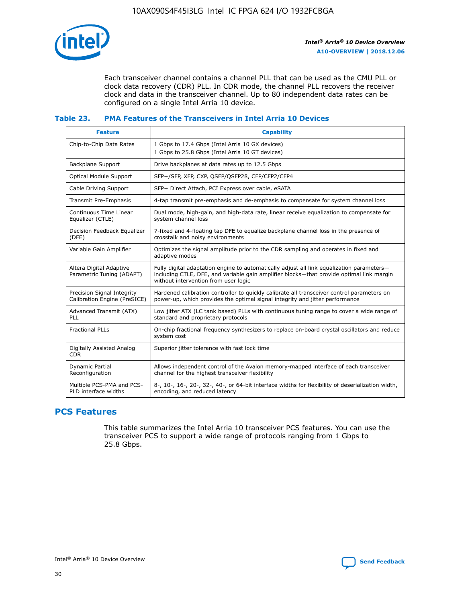

Each transceiver channel contains a channel PLL that can be used as the CMU PLL or clock data recovery (CDR) PLL. In CDR mode, the channel PLL recovers the receiver clock and data in the transceiver channel. Up to 80 independent data rates can be configured on a single Intel Arria 10 device.

# **Table 23. PMA Features of the Transceivers in Intel Arria 10 Devices**

| <b>Feature</b>                                             | <b>Capability</b>                                                                                                                                                                                                             |
|------------------------------------------------------------|-------------------------------------------------------------------------------------------------------------------------------------------------------------------------------------------------------------------------------|
| Chip-to-Chip Data Rates                                    | 1 Gbps to 17.4 Gbps (Intel Arria 10 GX devices)<br>1 Gbps to 25.8 Gbps (Intel Arria 10 GT devices)                                                                                                                            |
| Backplane Support                                          | Drive backplanes at data rates up to 12.5 Gbps                                                                                                                                                                                |
| <b>Optical Module Support</b>                              | SFP+/SFP, XFP, CXP, OSFP/OSFP28, CFP/CFP2/CFP4                                                                                                                                                                                |
| Cable Driving Support                                      | SFP+ Direct Attach, PCI Express over cable, eSATA                                                                                                                                                                             |
| <b>Transmit Pre-Emphasis</b>                               | 4-tap transmit pre-emphasis and de-emphasis to compensate for system channel loss                                                                                                                                             |
| Continuous Time Linear<br>Equalizer (CTLE)                 | Dual mode, high-gain, and high-data rate, linear receive equalization to compensate for<br>system channel loss                                                                                                                |
| Decision Feedback Equalizer<br>(DFE)                       | 7-fixed and 4-floating tap DFE to equalize backplane channel loss in the presence of<br>crosstalk and noisy environments                                                                                                      |
| Variable Gain Amplifier                                    | Optimizes the signal amplitude prior to the CDR sampling and operates in fixed and<br>adaptive modes                                                                                                                          |
| Altera Digital Adaptive<br>Parametric Tuning (ADAPT)       | Fully digital adaptation engine to automatically adjust all link equalization parameters-<br>including CTLE, DFE, and variable gain amplifier blocks-that provide optimal link margin<br>without intervention from user logic |
| Precision Signal Integrity<br>Calibration Engine (PreSICE) | Hardened calibration controller to quickly calibrate all transceiver control parameters on<br>power-up, which provides the optimal signal integrity and jitter performance                                                    |
| Advanced Transmit (ATX)<br>PLL                             | Low jitter ATX (LC tank based) PLLs with continuous tuning range to cover a wide range of<br>standard and proprietary protocols                                                                                               |
| <b>Fractional PLLs</b>                                     | On-chip fractional frequency synthesizers to replace on-board crystal oscillators and reduce<br>system cost                                                                                                                   |
| Digitally Assisted Analog<br><b>CDR</b>                    | Superior jitter tolerance with fast lock time                                                                                                                                                                                 |
| Dynamic Partial<br>Reconfiguration                         | Allows independent control of the Avalon memory-mapped interface of each transceiver<br>channel for the highest transceiver flexibility                                                                                       |
| Multiple PCS-PMA and PCS-<br>PLD interface widths          | 8-, 10-, 16-, 20-, 32-, 40-, or 64-bit interface widths for flexibility of deserialization width,<br>encoding, and reduced latency                                                                                            |

# **PCS Features**

This table summarizes the Intel Arria 10 transceiver PCS features. You can use the transceiver PCS to support a wide range of protocols ranging from 1 Gbps to 25.8 Gbps.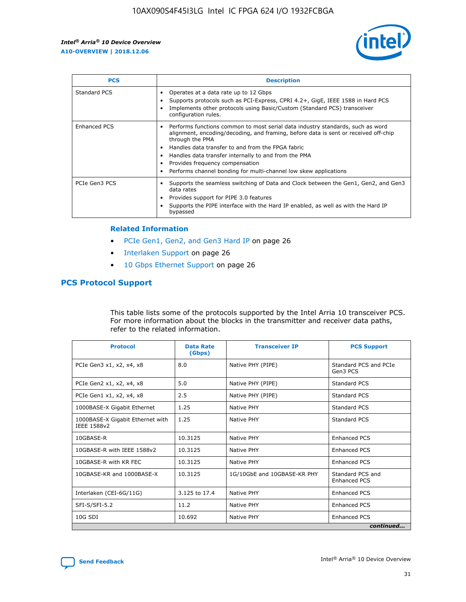

| <b>PCS</b>          | <b>Description</b>                                                                                                                                                                                                                                                                                                                                                                                             |
|---------------------|----------------------------------------------------------------------------------------------------------------------------------------------------------------------------------------------------------------------------------------------------------------------------------------------------------------------------------------------------------------------------------------------------------------|
| Standard PCS        | Operates at a data rate up to 12 Gbps<br>Supports protocols such as PCI-Express, CPRI 4.2+, GigE, IEEE 1588 in Hard PCS<br>Implements other protocols using Basic/Custom (Standard PCS) transceiver<br>configuration rules.                                                                                                                                                                                    |
| <b>Enhanced PCS</b> | Performs functions common to most serial data industry standards, such as word<br>alignment, encoding/decoding, and framing, before data is sent or received off-chip<br>through the PMA<br>• Handles data transfer to and from the FPGA fabric<br>Handles data transfer internally to and from the PMA<br>Provides frequency compensation<br>Performs channel bonding for multi-channel low skew applications |
| PCIe Gen3 PCS       | Supports the seamless switching of Data and Clock between the Gen1, Gen2, and Gen3<br>data rates<br>Provides support for PIPE 3.0 features<br>Supports the PIPE interface with the Hard IP enabled, as well as with the Hard IP<br>bypassed                                                                                                                                                                    |

#### **Related Information**

- PCIe Gen1, Gen2, and Gen3 Hard IP on page 26
- Interlaken Support on page 26
- 10 Gbps Ethernet Support on page 26

# **PCS Protocol Support**

This table lists some of the protocols supported by the Intel Arria 10 transceiver PCS. For more information about the blocks in the transmitter and receiver data paths, refer to the related information.

| <b>Protocol</b>                                 | <b>Data Rate</b><br>(Gbps) | <b>Transceiver IP</b>       | <b>PCS Support</b>                      |
|-------------------------------------------------|----------------------------|-----------------------------|-----------------------------------------|
| PCIe Gen3 x1, x2, x4, x8                        | 8.0                        | Native PHY (PIPE)           | Standard PCS and PCIe<br>Gen3 PCS       |
| PCIe Gen2 x1, x2, x4, x8                        | 5.0                        | Native PHY (PIPE)           | <b>Standard PCS</b>                     |
| PCIe Gen1 x1, x2, x4, x8                        | 2.5                        | Native PHY (PIPE)           | Standard PCS                            |
| 1000BASE-X Gigabit Ethernet                     | 1.25                       | Native PHY                  | <b>Standard PCS</b>                     |
| 1000BASE-X Gigabit Ethernet with<br>IEEE 1588v2 | 1.25                       | Native PHY                  | Standard PCS                            |
| 10GBASE-R                                       | 10.3125                    | Native PHY                  | <b>Enhanced PCS</b>                     |
| 10GBASE-R with IEEE 1588v2                      | 10.3125                    | Native PHY                  | <b>Enhanced PCS</b>                     |
| 10GBASE-R with KR FEC                           | 10.3125                    | Native PHY                  | <b>Enhanced PCS</b>                     |
| 10GBASE-KR and 1000BASE-X                       | 10.3125                    | 1G/10GbE and 10GBASE-KR PHY | Standard PCS and<br><b>Enhanced PCS</b> |
| Interlaken (CEI-6G/11G)                         | 3.125 to 17.4              | Native PHY                  | <b>Enhanced PCS</b>                     |
| SFI-S/SFI-5.2                                   | 11.2                       | Native PHY                  | <b>Enhanced PCS</b>                     |
| $10G$ SDI                                       | 10.692                     | Native PHY                  | <b>Enhanced PCS</b>                     |
|                                                 |                            |                             | continued                               |

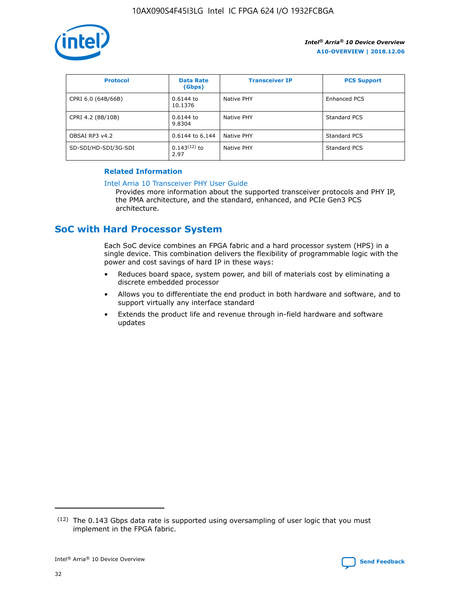

| <b>Protocol</b>      | <b>Data Rate</b><br>(Gbps) | <b>Transceiver IP</b> | <b>PCS Support</b> |
|----------------------|----------------------------|-----------------------|--------------------|
| CPRI 6.0 (64B/66B)   | 0.6144 to<br>10.1376       | Native PHY            | Enhanced PCS       |
| CPRI 4.2 (8B/10B)    | 0.6144 to<br>9.8304        | Native PHY            | Standard PCS       |
| OBSAI RP3 v4.2       | 0.6144 to 6.144            | Native PHY            | Standard PCS       |
| SD-SDI/HD-SDI/3G-SDI | $0.143(12)$ to<br>2.97     | Native PHY            | Standard PCS       |

## **Related Information**

#### [Intel Arria 10 Transceiver PHY User Guide](https://www.intel.com/content/www/us/en/programmable/documentation/nik1398707230472.html#nik1398707091164)

Provides more information about the supported transceiver protocols and PHY IP, the PMA architecture, and the standard, enhanced, and PCIe Gen3 PCS architecture.

# **SoC with Hard Processor System**

Each SoC device combines an FPGA fabric and a hard processor system (HPS) in a single device. This combination delivers the flexibility of programmable logic with the power and cost savings of hard IP in these ways:

- Reduces board space, system power, and bill of materials cost by eliminating a discrete embedded processor
- Allows you to differentiate the end product in both hardware and software, and to support virtually any interface standard
- Extends the product life and revenue through in-field hardware and software updates

 $(12)$  The 0.143 Gbps data rate is supported using oversampling of user logic that you must implement in the FPGA fabric.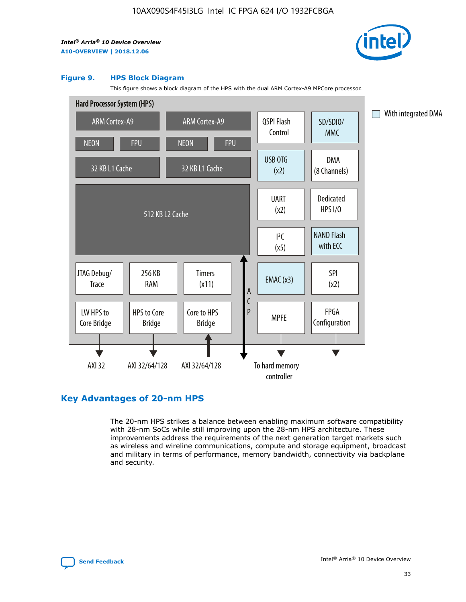

#### **Figure 9. HPS Block Diagram**

This figure shows a block diagram of the HPS with the dual ARM Cortex-A9 MPCore processor.



# **Key Advantages of 20-nm HPS**

The 20-nm HPS strikes a balance between enabling maximum software compatibility with 28-nm SoCs while still improving upon the 28-nm HPS architecture. These improvements address the requirements of the next generation target markets such as wireless and wireline communications, compute and storage equipment, broadcast and military in terms of performance, memory bandwidth, connectivity via backplane and security.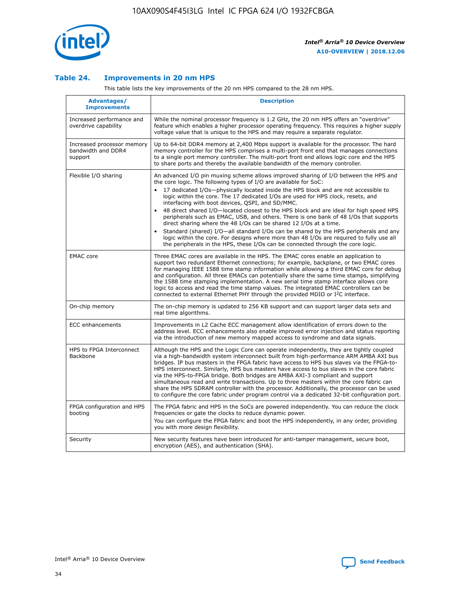

## **Table 24. Improvements in 20 nm HPS**

This table lists the key improvements of the 20 nm HPS compared to the 28 nm HPS.

| Advantages/<br><b>Improvements</b>                          | <b>Description</b>                                                                                                                                                                                                                                                                                                                                                                                                                                                                                                                                                                                                                                                                                                                                                                                                                                                                                                                                |
|-------------------------------------------------------------|---------------------------------------------------------------------------------------------------------------------------------------------------------------------------------------------------------------------------------------------------------------------------------------------------------------------------------------------------------------------------------------------------------------------------------------------------------------------------------------------------------------------------------------------------------------------------------------------------------------------------------------------------------------------------------------------------------------------------------------------------------------------------------------------------------------------------------------------------------------------------------------------------------------------------------------------------|
| Increased performance and<br>overdrive capability           | While the nominal processor frequency is 1.2 GHz, the 20 nm HPS offers an "overdrive"<br>feature which enables a higher processor operating frequency. This requires a higher supply<br>voltage value that is unique to the HPS and may require a separate regulator.                                                                                                                                                                                                                                                                                                                                                                                                                                                                                                                                                                                                                                                                             |
| Increased processor memory<br>bandwidth and DDR4<br>support | Up to 64-bit DDR4 memory at 2,400 Mbps support is available for the processor. The hard<br>memory controller for the HPS comprises a multi-port front end that manages connections<br>to a single port memory controller. The multi-port front end allows logic core and the HPS<br>to share ports and thereby the available bandwidth of the memory controller.                                                                                                                                                                                                                                                                                                                                                                                                                                                                                                                                                                                  |
| Flexible I/O sharing                                        | An advanced I/O pin muxing scheme allows improved sharing of I/O between the HPS and<br>the core logic. The following types of I/O are available for SoC:<br>17 dedicated I/Os-physically located inside the HPS block and are not accessible to<br>$\bullet$<br>logic within the core. The 17 dedicated I/Os are used for HPS clock, resets, and<br>interfacing with boot devices, QSPI, and SD/MMC.<br>48 direct shared I/O-located closest to the HPS block and are ideal for high speed HPS<br>$\bullet$<br>peripherals such as EMAC, USB, and others. There is one bank of 48 I/Os that supports<br>direct sharing where the 48 I/Os can be shared 12 I/Os at a time.<br>Standard (shared) I/O-all standard I/Os can be shared by the HPS peripherals and any<br>logic within the core. For designs where more than 48 I/Os are reguired to fully use all<br>the peripherals in the HPS, these I/Os can be connected through the core logic. |
| <b>EMAC</b> core                                            | Three EMAC cores are available in the HPS. The EMAC cores enable an application to<br>support two redundant Ethernet connections; for example, backplane, or two EMAC cores<br>for managing IEEE 1588 time stamp information while allowing a third EMAC core for debug<br>and configuration. All three EMACs can potentially share the same time stamps, simplifying<br>the 1588 time stamping implementation. A new serial time stamp interface allows core<br>logic to access and read the time stamp values. The integrated EMAC controllers can be<br>connected to external Ethernet PHY through the provided MDIO or I <sup>2</sup> C interface.                                                                                                                                                                                                                                                                                            |
| On-chip memory                                              | The on-chip memory is updated to 256 KB support and can support larger data sets and<br>real time algorithms.                                                                                                                                                                                                                                                                                                                                                                                                                                                                                                                                                                                                                                                                                                                                                                                                                                     |
| <b>ECC</b> enhancements                                     | Improvements in L2 Cache ECC management allow identification of errors down to the<br>address level. ECC enhancements also enable improved error injection and status reporting<br>via the introduction of new memory mapped access to syndrome and data signals.                                                                                                                                                                                                                                                                                                                                                                                                                                                                                                                                                                                                                                                                                 |
| HPS to FPGA Interconnect<br>Backbone                        | Although the HPS and the Logic Core can operate independently, they are tightly coupled<br>via a high-bandwidth system interconnect built from high-performance ARM AMBA AXI bus<br>bridges. IP bus masters in the FPGA fabric have access to HPS bus slaves via the FPGA-to-<br>HPS interconnect. Similarly, HPS bus masters have access to bus slaves in the core fabric<br>via the HPS-to-FPGA bridge. Both bridges are AMBA AXI-3 compliant and support<br>simultaneous read and write transactions. Up to three masters within the core fabric can<br>share the HPS SDRAM controller with the processor. Additionally, the processor can be used<br>to configure the core fabric under program control via a dedicated 32-bit configuration port.                                                                                                                                                                                            |
| FPGA configuration and HPS<br>booting                       | The FPGA fabric and HPS in the SoCs are powered independently. You can reduce the clock<br>frequencies or gate the clocks to reduce dynamic power.<br>You can configure the FPGA fabric and boot the HPS independently, in any order, providing<br>you with more design flexibility.                                                                                                                                                                                                                                                                                                                                                                                                                                                                                                                                                                                                                                                              |
| Security                                                    | New security features have been introduced for anti-tamper management, secure boot,<br>encryption (AES), and authentication (SHA).                                                                                                                                                                                                                                                                                                                                                                                                                                                                                                                                                                                                                                                                                                                                                                                                                |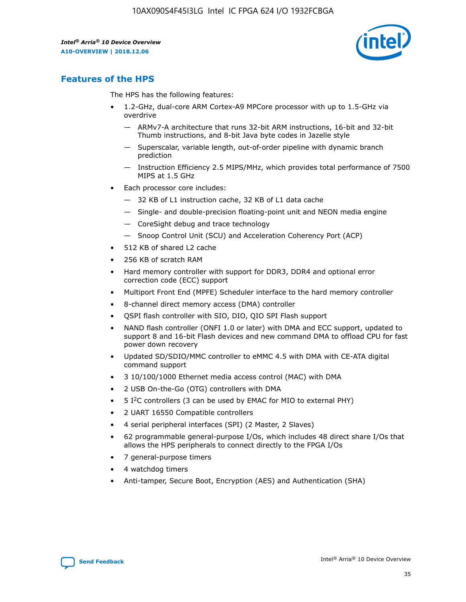

# **Features of the HPS**

The HPS has the following features:

- 1.2-GHz, dual-core ARM Cortex-A9 MPCore processor with up to 1.5-GHz via overdrive
	- ARMv7-A architecture that runs 32-bit ARM instructions, 16-bit and 32-bit Thumb instructions, and 8-bit Java byte codes in Jazelle style
	- Superscalar, variable length, out-of-order pipeline with dynamic branch prediction
	- Instruction Efficiency 2.5 MIPS/MHz, which provides total performance of 7500 MIPS at 1.5 GHz
- Each processor core includes:
	- 32 KB of L1 instruction cache, 32 KB of L1 data cache
	- Single- and double-precision floating-point unit and NEON media engine
	- CoreSight debug and trace technology
	- Snoop Control Unit (SCU) and Acceleration Coherency Port (ACP)
- 512 KB of shared L2 cache
- 256 KB of scratch RAM
- Hard memory controller with support for DDR3, DDR4 and optional error correction code (ECC) support
- Multiport Front End (MPFE) Scheduler interface to the hard memory controller
- 8-channel direct memory access (DMA) controller
- QSPI flash controller with SIO, DIO, QIO SPI Flash support
- NAND flash controller (ONFI 1.0 or later) with DMA and ECC support, updated to support 8 and 16-bit Flash devices and new command DMA to offload CPU for fast power down recovery
- Updated SD/SDIO/MMC controller to eMMC 4.5 with DMA with CE-ATA digital command support
- 3 10/100/1000 Ethernet media access control (MAC) with DMA
- 2 USB On-the-Go (OTG) controllers with DMA
- $\bullet$  5 I<sup>2</sup>C controllers (3 can be used by EMAC for MIO to external PHY)
- 2 UART 16550 Compatible controllers
- 4 serial peripheral interfaces (SPI) (2 Master, 2 Slaves)
- 62 programmable general-purpose I/Os, which includes 48 direct share I/Os that allows the HPS peripherals to connect directly to the FPGA I/Os
- 7 general-purpose timers
- 4 watchdog timers
- Anti-tamper, Secure Boot, Encryption (AES) and Authentication (SHA)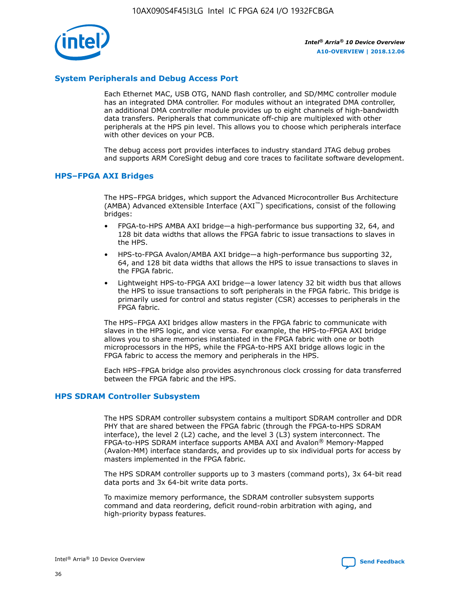

# **System Peripherals and Debug Access Port**

Each Ethernet MAC, USB OTG, NAND flash controller, and SD/MMC controller module has an integrated DMA controller. For modules without an integrated DMA controller, an additional DMA controller module provides up to eight channels of high-bandwidth data transfers. Peripherals that communicate off-chip are multiplexed with other peripherals at the HPS pin level. This allows you to choose which peripherals interface with other devices on your PCB.

The debug access port provides interfaces to industry standard JTAG debug probes and supports ARM CoreSight debug and core traces to facilitate software development.

## **HPS–FPGA AXI Bridges**

The HPS–FPGA bridges, which support the Advanced Microcontroller Bus Architecture (AMBA) Advanced eXtensible Interface (AXI™) specifications, consist of the following bridges:

- FPGA-to-HPS AMBA AXI bridge—a high-performance bus supporting 32, 64, and 128 bit data widths that allows the FPGA fabric to issue transactions to slaves in the HPS.
- HPS-to-FPGA Avalon/AMBA AXI bridge—a high-performance bus supporting 32, 64, and 128 bit data widths that allows the HPS to issue transactions to slaves in the FPGA fabric.
- Lightweight HPS-to-FPGA AXI bridge—a lower latency 32 bit width bus that allows the HPS to issue transactions to soft peripherals in the FPGA fabric. This bridge is primarily used for control and status register (CSR) accesses to peripherals in the FPGA fabric.

The HPS–FPGA AXI bridges allow masters in the FPGA fabric to communicate with slaves in the HPS logic, and vice versa. For example, the HPS-to-FPGA AXI bridge allows you to share memories instantiated in the FPGA fabric with one or both microprocessors in the HPS, while the FPGA-to-HPS AXI bridge allows logic in the FPGA fabric to access the memory and peripherals in the HPS.

Each HPS–FPGA bridge also provides asynchronous clock crossing for data transferred between the FPGA fabric and the HPS.

### **HPS SDRAM Controller Subsystem**

The HPS SDRAM controller subsystem contains a multiport SDRAM controller and DDR PHY that are shared between the FPGA fabric (through the FPGA-to-HPS SDRAM interface), the level 2 (L2) cache, and the level 3 (L3) system interconnect. The FPGA-to-HPS SDRAM interface supports AMBA AXI and Avalon® Memory-Mapped (Avalon-MM) interface standards, and provides up to six individual ports for access by masters implemented in the FPGA fabric.

The HPS SDRAM controller supports up to 3 masters (command ports), 3x 64-bit read data ports and 3x 64-bit write data ports.

To maximize memory performance, the SDRAM controller subsystem supports command and data reordering, deficit round-robin arbitration with aging, and high-priority bypass features.

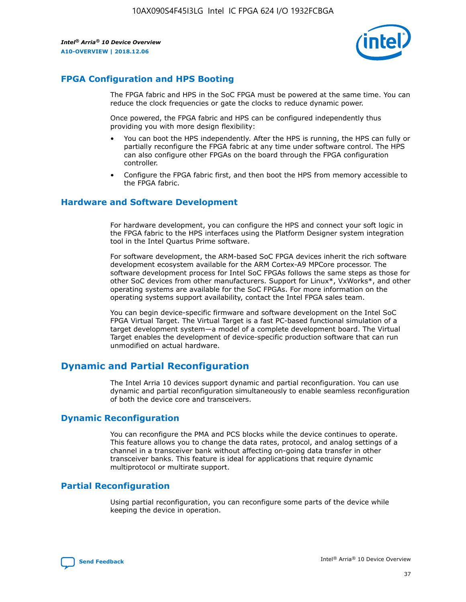

# **FPGA Configuration and HPS Booting**

The FPGA fabric and HPS in the SoC FPGA must be powered at the same time. You can reduce the clock frequencies or gate the clocks to reduce dynamic power.

Once powered, the FPGA fabric and HPS can be configured independently thus providing you with more design flexibility:

- You can boot the HPS independently. After the HPS is running, the HPS can fully or partially reconfigure the FPGA fabric at any time under software control. The HPS can also configure other FPGAs on the board through the FPGA configuration controller.
- Configure the FPGA fabric first, and then boot the HPS from memory accessible to the FPGA fabric.

## **Hardware and Software Development**

For hardware development, you can configure the HPS and connect your soft logic in the FPGA fabric to the HPS interfaces using the Platform Designer system integration tool in the Intel Quartus Prime software.

For software development, the ARM-based SoC FPGA devices inherit the rich software development ecosystem available for the ARM Cortex-A9 MPCore processor. The software development process for Intel SoC FPGAs follows the same steps as those for other SoC devices from other manufacturers. Support for Linux\*, VxWorks\*, and other operating systems are available for the SoC FPGAs. For more information on the operating systems support availability, contact the Intel FPGA sales team.

You can begin device-specific firmware and software development on the Intel SoC FPGA Virtual Target. The Virtual Target is a fast PC-based functional simulation of a target development system—a model of a complete development board. The Virtual Target enables the development of device-specific production software that can run unmodified on actual hardware.

# **Dynamic and Partial Reconfiguration**

The Intel Arria 10 devices support dynamic and partial reconfiguration. You can use dynamic and partial reconfiguration simultaneously to enable seamless reconfiguration of both the device core and transceivers.

# **Dynamic Reconfiguration**

You can reconfigure the PMA and PCS blocks while the device continues to operate. This feature allows you to change the data rates, protocol, and analog settings of a channel in a transceiver bank without affecting on-going data transfer in other transceiver banks. This feature is ideal for applications that require dynamic multiprotocol or multirate support.

# **Partial Reconfiguration**

Using partial reconfiguration, you can reconfigure some parts of the device while keeping the device in operation.

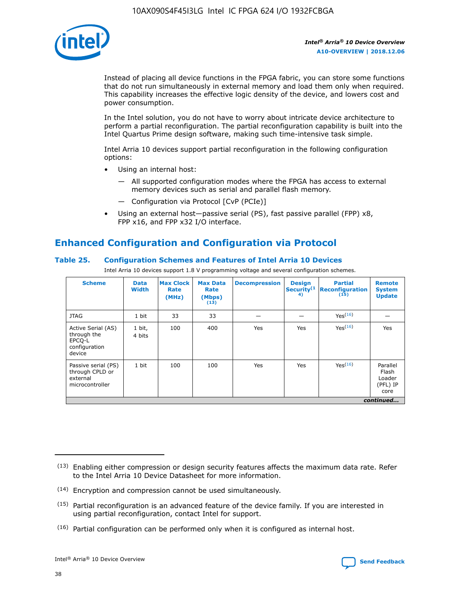

Instead of placing all device functions in the FPGA fabric, you can store some functions that do not run simultaneously in external memory and load them only when required. This capability increases the effective logic density of the device, and lowers cost and power consumption.

In the Intel solution, you do not have to worry about intricate device architecture to perform a partial reconfiguration. The partial reconfiguration capability is built into the Intel Quartus Prime design software, making such time-intensive task simple.

Intel Arria 10 devices support partial reconfiguration in the following configuration options:

- Using an internal host:
	- All supported configuration modes where the FPGA has access to external memory devices such as serial and parallel flash memory.
	- Configuration via Protocol [CvP (PCIe)]
- Using an external host—passive serial (PS), fast passive parallel (FPP) x8, FPP x16, and FPP x32 I/O interface.

# **Enhanced Configuration and Configuration via Protocol**

# **Table 25. Configuration Schemes and Features of Intel Arria 10 Devices**

Intel Arria 10 devices support 1.8 V programming voltage and several configuration schemes.

| <b>Scheme</b>                                                          | <b>Data</b><br><b>Width</b> | <b>Max Clock</b><br>Rate<br>(MHz) | <b>Max Data</b><br>Rate<br>(Mbps)<br>(13) | <b>Decompression</b> | <b>Design</b><br>Security <sup>(1</sup><br>4) | <b>Partial</b><br><b>Reconfiguration</b><br>(15) | <b>Remote</b><br><b>System</b><br><b>Update</b> |
|------------------------------------------------------------------------|-----------------------------|-----------------------------------|-------------------------------------------|----------------------|-----------------------------------------------|--------------------------------------------------|-------------------------------------------------|
| <b>JTAG</b>                                                            | 1 bit                       | 33                                | 33                                        |                      |                                               | Yes(16)                                          |                                                 |
| Active Serial (AS)<br>through the<br>EPCO-L<br>configuration<br>device | 1 bit,<br>4 bits            | 100                               | 400                                       | Yes                  | Yes                                           | $Y_{PS}(16)$                                     | Yes                                             |
| Passive serial (PS)<br>through CPLD or<br>external<br>microcontroller  | 1 bit                       | 100                               | 100                                       | Yes                  | Yes                                           | Yes(16)                                          | Parallel<br>Flash<br>Loader<br>(PFL) IP<br>core |
|                                                                        |                             |                                   |                                           |                      |                                               |                                                  | continued                                       |

<sup>(13)</sup> Enabling either compression or design security features affects the maximum data rate. Refer to the Intel Arria 10 Device Datasheet for more information.

<sup>(14)</sup> Encryption and compression cannot be used simultaneously.

 $<sup>(15)</sup>$  Partial reconfiguration is an advanced feature of the device family. If you are interested in</sup> using partial reconfiguration, contact Intel for support.

 $(16)$  Partial configuration can be performed only when it is configured as internal host.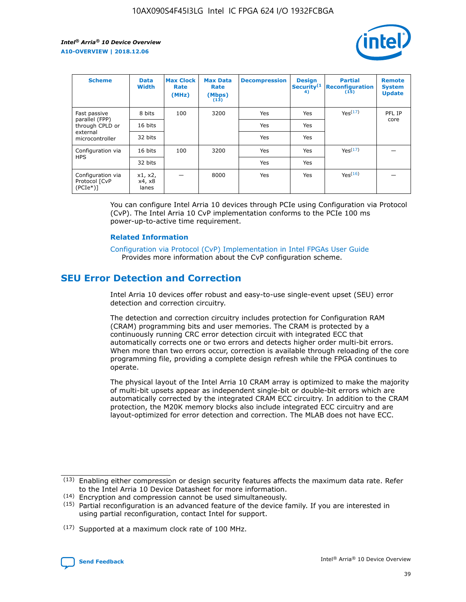

| <b>Scheme</b>                                    | <b>Data</b><br><b>Width</b> | <b>Max Clock</b><br>Rate<br>(MHz) | <b>Max Data</b><br>Rate<br>(Mbps)<br>(13) | <b>Decompression</b> | <b>Design</b><br>Security <sup>(1</sup><br>4) | <b>Partial</b><br><b>Reconfiguration</b><br>(15) | <b>Remote</b><br><b>System</b><br><b>Update</b> |
|--------------------------------------------------|-----------------------------|-----------------------------------|-------------------------------------------|----------------------|-----------------------------------------------|--------------------------------------------------|-------------------------------------------------|
| Fast passive                                     | 8 bits                      | 100                               | 3200                                      | <b>Yes</b>           | Yes                                           | Yes(17)                                          | PFL IP                                          |
| parallel (FPP)<br>through CPLD or                | 16 bits                     |                                   |                                           | Yes                  | Yes                                           |                                                  | core                                            |
| external<br>microcontroller                      | 32 bits                     |                                   |                                           | Yes                  | Yes                                           |                                                  |                                                 |
| Configuration via                                | 16 bits                     | 100                               | 3200                                      | Yes                  | Yes                                           | Yes <sup>(17)</sup>                              |                                                 |
| <b>HPS</b>                                       | 32 bits                     |                                   |                                           | Yes                  | Yes                                           |                                                  |                                                 |
| Configuration via<br>Protocol [CvP<br>$(PCIe^*)$ | x1, x2,<br>x4, x8<br>lanes  |                                   | 8000                                      | Yes                  | Yes                                           | Yes <sup>(16)</sup>                              |                                                 |

You can configure Intel Arria 10 devices through PCIe using Configuration via Protocol (CvP). The Intel Arria 10 CvP implementation conforms to the PCIe 100 ms power-up-to-active time requirement.

### **Related Information**

[Configuration via Protocol \(CvP\) Implementation in Intel FPGAs User Guide](https://www.intel.com/content/www/us/en/programmable/documentation/dsu1441819344145.html#dsu1442269728522) Provides more information about the CvP configuration scheme.

# **SEU Error Detection and Correction**

Intel Arria 10 devices offer robust and easy-to-use single-event upset (SEU) error detection and correction circuitry.

The detection and correction circuitry includes protection for Configuration RAM (CRAM) programming bits and user memories. The CRAM is protected by a continuously running CRC error detection circuit with integrated ECC that automatically corrects one or two errors and detects higher order multi-bit errors. When more than two errors occur, correction is available through reloading of the core programming file, providing a complete design refresh while the FPGA continues to operate.

The physical layout of the Intel Arria 10 CRAM array is optimized to make the majority of multi-bit upsets appear as independent single-bit or double-bit errors which are automatically corrected by the integrated CRAM ECC circuitry. In addition to the CRAM protection, the M20K memory blocks also include integrated ECC circuitry and are layout-optimized for error detection and correction. The MLAB does not have ECC.

<sup>(17)</sup> Supported at a maximum clock rate of 100 MHz.



 $(13)$  Enabling either compression or design security features affects the maximum data rate. Refer to the Intel Arria 10 Device Datasheet for more information.

<sup>(14)</sup> Encryption and compression cannot be used simultaneously.

 $(15)$  Partial reconfiguration is an advanced feature of the device family. If you are interested in using partial reconfiguration, contact Intel for support.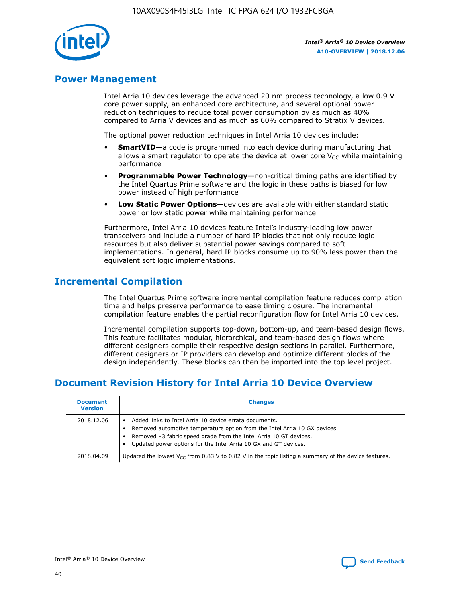

# **Power Management**

Intel Arria 10 devices leverage the advanced 20 nm process technology, a low 0.9 V core power supply, an enhanced core architecture, and several optional power reduction techniques to reduce total power consumption by as much as 40% compared to Arria V devices and as much as 60% compared to Stratix V devices.

The optional power reduction techniques in Intel Arria 10 devices include:

- **SmartVID**—a code is programmed into each device during manufacturing that allows a smart regulator to operate the device at lower core  $V_{CC}$  while maintaining performance
- **Programmable Power Technology**—non-critical timing paths are identified by the Intel Quartus Prime software and the logic in these paths is biased for low power instead of high performance
- **Low Static Power Options**—devices are available with either standard static power or low static power while maintaining performance

Furthermore, Intel Arria 10 devices feature Intel's industry-leading low power transceivers and include a number of hard IP blocks that not only reduce logic resources but also deliver substantial power savings compared to soft implementations. In general, hard IP blocks consume up to 90% less power than the equivalent soft logic implementations.

# **Incremental Compilation**

The Intel Quartus Prime software incremental compilation feature reduces compilation time and helps preserve performance to ease timing closure. The incremental compilation feature enables the partial reconfiguration flow for Intel Arria 10 devices.

Incremental compilation supports top-down, bottom-up, and team-based design flows. This feature facilitates modular, hierarchical, and team-based design flows where different designers compile their respective design sections in parallel. Furthermore, different designers or IP providers can develop and optimize different blocks of the design independently. These blocks can then be imported into the top level project.

# **Document Revision History for Intel Arria 10 Device Overview**

| <b>Document</b><br><b>Version</b> | <b>Changes</b>                                                                                                                                                                                                                                                              |
|-----------------------------------|-----------------------------------------------------------------------------------------------------------------------------------------------------------------------------------------------------------------------------------------------------------------------------|
| 2018.12.06                        | Added links to Intel Arria 10 device errata documents.<br>Removed automotive temperature option from the Intel Arria 10 GX devices.<br>Removed -3 fabric speed grade from the Intel Arria 10 GT devices.<br>Updated power options for the Intel Arria 10 GX and GT devices. |
| 2018.04.09                        | Updated the lowest $V_{CC}$ from 0.83 V to 0.82 V in the topic listing a summary of the device features.                                                                                                                                                                    |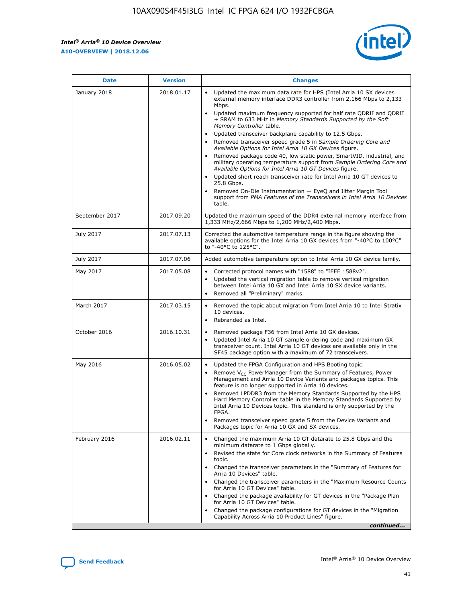*Intel® Arria® 10 Device Overview* **A10-OVERVIEW | 2018.12.06**



| <b>Date</b>    | <b>Version</b> | <b>Changes</b>                                                                                                                                                                                                                                                                                                                                                                                                                                                                                                                                                                                                                                                                                                                                                                                                                                                                                                                                                            |
|----------------|----------------|---------------------------------------------------------------------------------------------------------------------------------------------------------------------------------------------------------------------------------------------------------------------------------------------------------------------------------------------------------------------------------------------------------------------------------------------------------------------------------------------------------------------------------------------------------------------------------------------------------------------------------------------------------------------------------------------------------------------------------------------------------------------------------------------------------------------------------------------------------------------------------------------------------------------------------------------------------------------------|
| January 2018   | 2018.01.17     | Updated the maximum data rate for HPS (Intel Arria 10 SX devices<br>external memory interface DDR3 controller from 2,166 Mbps to 2,133<br>Mbps.<br>Updated maximum frequency supported for half rate QDRII and QDRII<br>+ SRAM to 633 MHz in Memory Standards Supported by the Soft<br>Memory Controller table.<br>Updated transceiver backplane capability to 12.5 Gbps.<br>$\bullet$<br>Removed transceiver speed grade 5 in Sample Ordering Core and<br>Available Options for Intel Arria 10 GX Devices figure.<br>Removed package code 40, low static power, SmartVID, industrial, and<br>military operating temperature support from Sample Ordering Core and<br>Available Options for Intel Arria 10 GT Devices figure.<br>Updated short reach transceiver rate for Intel Arria 10 GT devices to<br>25.8 Gbps.<br>Removed On-Die Instrumentation - EyeQ and Jitter Margin Tool<br>support from PMA Features of the Transceivers in Intel Arria 10 Devices<br>table. |
| September 2017 | 2017.09.20     | Updated the maximum speed of the DDR4 external memory interface from<br>1,333 MHz/2,666 Mbps to 1,200 MHz/2,400 Mbps.                                                                                                                                                                                                                                                                                                                                                                                                                                                                                                                                                                                                                                                                                                                                                                                                                                                     |
| July 2017      | 2017.07.13     | Corrected the automotive temperature range in the figure showing the<br>available options for the Intel Arria 10 GX devices from "-40°C to 100°C"<br>to "-40°C to 125°C".                                                                                                                                                                                                                                                                                                                                                                                                                                                                                                                                                                                                                                                                                                                                                                                                 |
| July 2017      | 2017.07.06     | Added automotive temperature option to Intel Arria 10 GX device family.                                                                                                                                                                                                                                                                                                                                                                                                                                                                                                                                                                                                                                                                                                                                                                                                                                                                                                   |
| May 2017       | 2017.05.08     | Corrected protocol names with "1588" to "IEEE 1588v2".<br>$\bullet$<br>Updated the vertical migration table to remove vertical migration<br>$\bullet$<br>between Intel Arria 10 GX and Intel Arria 10 SX device variants.<br>Removed all "Preliminary" marks.<br>$\bullet$                                                                                                                                                                                                                                                                                                                                                                                                                                                                                                                                                                                                                                                                                                |
| March 2017     | 2017.03.15     | Removed the topic about migration from Intel Arria 10 to Intel Stratix<br>10 devices.<br>Rebranded as Intel.<br>$\bullet$                                                                                                                                                                                                                                                                                                                                                                                                                                                                                                                                                                                                                                                                                                                                                                                                                                                 |
| October 2016   | 2016.10.31     | Removed package F36 from Intel Arria 10 GX devices.<br>Updated Intel Arria 10 GT sample ordering code and maximum GX<br>$\bullet$<br>transceiver count. Intel Arria 10 GT devices are available only in the<br>SF45 package option with a maximum of 72 transceivers.                                                                                                                                                                                                                                                                                                                                                                                                                                                                                                                                                                                                                                                                                                     |
| May 2016       | 2016.05.02     | Updated the FPGA Configuration and HPS Booting topic.<br>$\bullet$<br>Remove V <sub>CC</sub> PowerManager from the Summary of Features, Power<br>Management and Arria 10 Device Variants and packages topics. This<br>feature is no longer supported in Arria 10 devices.<br>Removed LPDDR3 from the Memory Standards Supported by the HPS<br>Hard Memory Controller table in the Memory Standards Supported by<br>Intel Arria 10 Devices topic. This standard is only supported by the<br>FPGA.<br>Removed transceiver speed grade 5 from the Device Variants and<br>Packages topic for Arria 10 GX and SX devices.                                                                                                                                                                                                                                                                                                                                                      |
| February 2016  | 2016.02.11     | Changed the maximum Arria 10 GT datarate to 25.8 Gbps and the<br>minimum datarate to 1 Gbps globally.<br>Revised the state for Core clock networks in the Summary of Features<br>$\bullet$<br>topic.<br>Changed the transceiver parameters in the "Summary of Features for<br>$\bullet$<br>Arria 10 Devices" table.<br>• Changed the transceiver parameters in the "Maximum Resource Counts<br>for Arria 10 GT Devices" table.<br>Changed the package availability for GT devices in the "Package Plan<br>for Arria 10 GT Devices" table.<br>Changed the package configurations for GT devices in the "Migration"<br>Capability Across Arria 10 Product Lines" figure.<br>continued                                                                                                                                                                                                                                                                                       |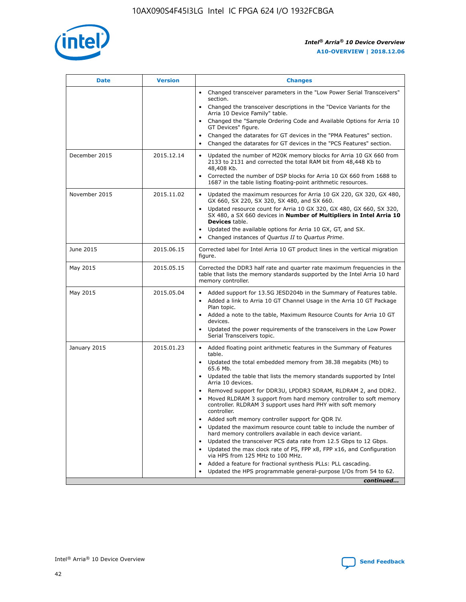

| <b>Date</b>   | <b>Version</b> | <b>Changes</b>                                                                                                                                                               |
|---------------|----------------|------------------------------------------------------------------------------------------------------------------------------------------------------------------------------|
|               |                | • Changed transceiver parameters in the "Low Power Serial Transceivers"<br>section.                                                                                          |
|               |                | • Changed the transceiver descriptions in the "Device Variants for the<br>Arria 10 Device Family" table.                                                                     |
|               |                | • Changed the "Sample Ordering Code and Available Options for Arria 10<br>GT Devices" figure.                                                                                |
|               |                | Changed the datarates for GT devices in the "PMA Features" section.<br>$\bullet$                                                                                             |
|               |                | Changed the datarates for GT devices in the "PCS Features" section.<br>$\bullet$                                                                                             |
| December 2015 | 2015.12.14     | Updated the number of M20K memory blocks for Arria 10 GX 660 from<br>2133 to 2131 and corrected the total RAM bit from 48,448 Kb to<br>48,408 Kb.                            |
|               |                | Corrected the number of DSP blocks for Arria 10 GX 660 from 1688 to<br>1687 in the table listing floating-point arithmetic resources.                                        |
| November 2015 | 2015.11.02     | Updated the maximum resources for Arria 10 GX 220, GX 320, GX 480,<br>$\bullet$<br>GX 660, SX 220, SX 320, SX 480, and SX 660.                                               |
|               |                | • Updated resource count for Arria 10 GX 320, GX 480, GX 660, SX 320,<br>SX 480, a SX 660 devices in Number of Multipliers in Intel Arria 10<br><b>Devices</b> table.        |
|               |                | • Updated the available options for Arria 10 GX, GT, and SX.                                                                                                                 |
|               |                | • Changed instances of Quartus II to Quartus Prime.                                                                                                                          |
| June 2015     | 2015.06.15     | Corrected label for Intel Arria 10 GT product lines in the vertical migration<br>figure.                                                                                     |
| May 2015      | 2015.05.15     | Corrected the DDR3 half rate and quarter rate maximum frequencies in the<br>table that lists the memory standards supported by the Intel Arria 10 hard<br>memory controller. |
| May 2015      | 2015.05.04     | • Added support for 13.5G JESD204b in the Summary of Features table.<br>• Added a link to Arria 10 GT Channel Usage in the Arria 10 GT Package<br>Plan topic.                |
|               |                | • Added a note to the table, Maximum Resource Counts for Arria 10 GT<br>devices.                                                                                             |
|               |                | • Updated the power requirements of the transceivers in the Low Power<br>Serial Transceivers topic.                                                                          |
| January 2015  | 2015.01.23     | • Added floating point arithmetic features in the Summary of Features<br>table.                                                                                              |
|               |                | • Updated the total embedded memory from 38.38 megabits (Mb) to<br>65.6 Mb.                                                                                                  |
|               |                | • Updated the table that lists the memory standards supported by Intel<br>Arria 10 devices.                                                                                  |
|               |                | • Removed support for DDR3U, LPDDR3 SDRAM, RLDRAM 2, and DDR2.                                                                                                               |
|               |                | Moved RLDRAM 3 support from hard memory controller to soft memory<br>$\bullet$<br>controller. RLDRAM 3 support uses hard PHY with soft memory<br>controller.                 |
|               |                | Added soft memory controller support for QDR IV.                                                                                                                             |
|               |                | Updated the maximum resource count table to include the number of<br>hard memory controllers available in each device variant.                                               |
|               |                | Updated the transceiver PCS data rate from 12.5 Gbps to 12 Gbps.<br>$\bullet$                                                                                                |
|               |                | Updated the max clock rate of PS, FPP x8, FPP x16, and Configuration<br>via HPS from 125 MHz to 100 MHz.                                                                     |
|               |                | Added a feature for fractional synthesis PLLs: PLL cascading.                                                                                                                |
|               |                | Updated the HPS programmable general-purpose I/Os from 54 to 62.<br>$\bullet$<br>continued                                                                                   |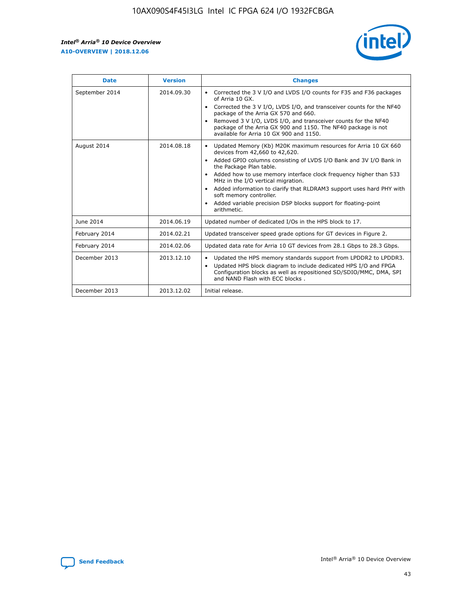r



| <b>Date</b>    | <b>Version</b> | <b>Changes</b>                                                                                                                                                                                                                                                                                                                                                                                                                                                                                                                                      |
|----------------|----------------|-----------------------------------------------------------------------------------------------------------------------------------------------------------------------------------------------------------------------------------------------------------------------------------------------------------------------------------------------------------------------------------------------------------------------------------------------------------------------------------------------------------------------------------------------------|
| September 2014 | 2014.09.30     | Corrected the 3 V I/O and LVDS I/O counts for F35 and F36 packages<br>$\bullet$<br>of Arria 10 GX.<br>Corrected the 3 V I/O, LVDS I/O, and transceiver counts for the NF40<br>$\bullet$<br>package of the Arria GX 570 and 660.<br>Removed 3 V I/O, LVDS I/O, and transceiver counts for the NF40<br>package of the Arria GX 900 and 1150. The NF40 package is not<br>available for Arria 10 GX 900 and 1150.                                                                                                                                       |
| August 2014    | 2014.08.18     | Updated Memory (Kb) M20K maximum resources for Arria 10 GX 660<br>devices from 42,660 to 42,620.<br>Added GPIO columns consisting of LVDS I/O Bank and 3V I/O Bank in<br>$\bullet$<br>the Package Plan table.<br>Added how to use memory interface clock frequency higher than 533<br>$\bullet$<br>MHz in the I/O vertical migration.<br>Added information to clarify that RLDRAM3 support uses hard PHY with<br>$\bullet$<br>soft memory controller.<br>Added variable precision DSP blocks support for floating-point<br>$\bullet$<br>arithmetic. |
| June 2014      | 2014.06.19     | Updated number of dedicated I/Os in the HPS block to 17.                                                                                                                                                                                                                                                                                                                                                                                                                                                                                            |
| February 2014  | 2014.02.21     | Updated transceiver speed grade options for GT devices in Figure 2.                                                                                                                                                                                                                                                                                                                                                                                                                                                                                 |
| February 2014  | 2014.02.06     | Updated data rate for Arria 10 GT devices from 28.1 Gbps to 28.3 Gbps.                                                                                                                                                                                                                                                                                                                                                                                                                                                                              |
| December 2013  | 2013.12.10     | Updated the HPS memory standards support from LPDDR2 to LPDDR3.<br>Updated HPS block diagram to include dedicated HPS I/O and FPGA<br>$\bullet$<br>Configuration blocks as well as repositioned SD/SDIO/MMC, DMA, SPI<br>and NAND Flash with ECC blocks.                                                                                                                                                                                                                                                                                            |
| December 2013  | 2013.12.02     | Initial release.                                                                                                                                                                                                                                                                                                                                                                                                                                                                                                                                    |